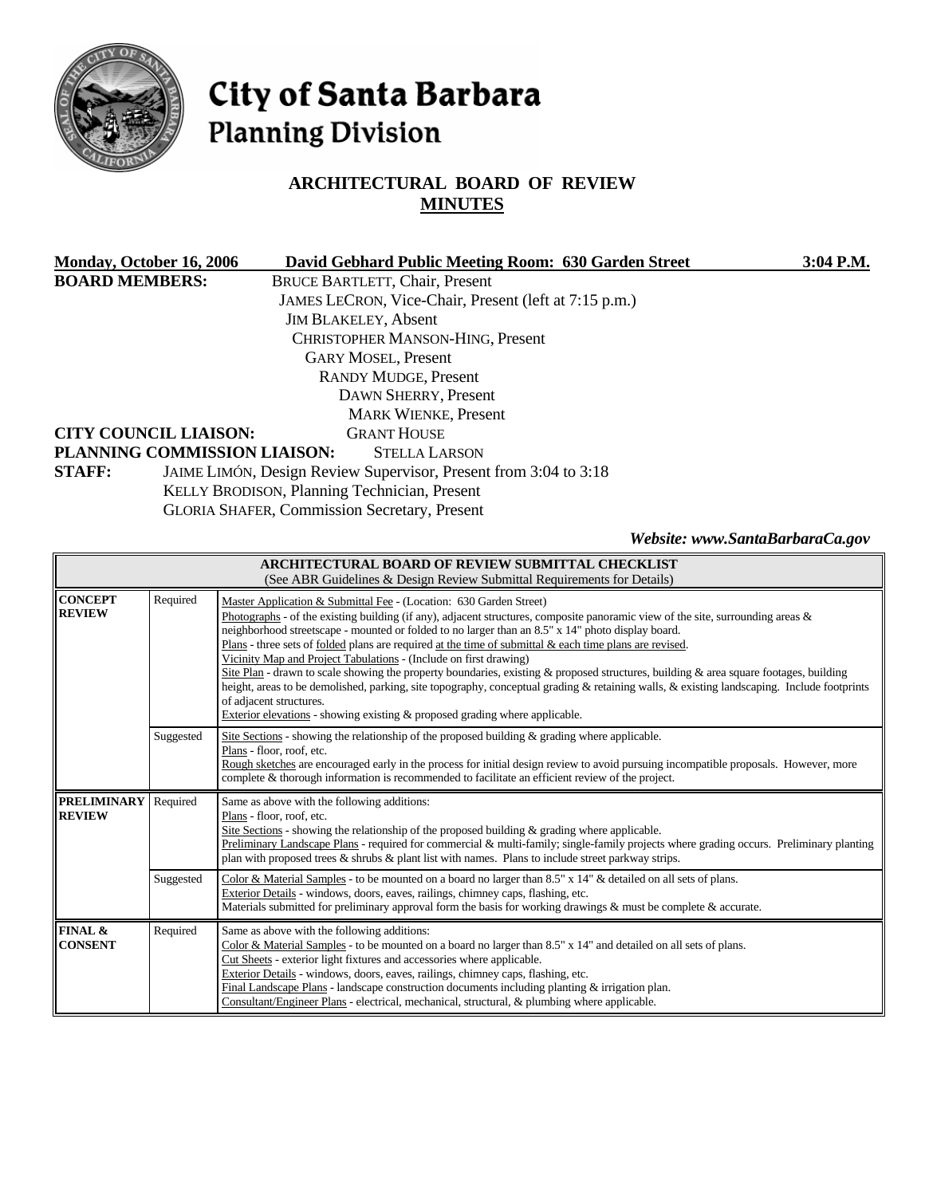

# City of Santa Barbara **Planning Division**

# **ARCHITECTURAL BOARD OF REVIEW MINUTES**

| Monday, October 16, 2006     | David Gebhard Public Meeting Room: 630 Garden Street             | $3:04$ P.M.                     |
|------------------------------|------------------------------------------------------------------|---------------------------------|
| <b>BOARD MEMBERS:</b>        | <b>BRUCE BARTLETT, Chair, Present</b>                            |                                 |
|                              | JAMES LECRON, Vice-Chair, Present (left at 7:15 p.m.)            |                                 |
|                              | <b>JIM BLAKELEY, Absent</b>                                      |                                 |
|                              | CHRISTOPHER MANSON-HING, Present                                 |                                 |
|                              | <b>GARY MOSEL, Present</b>                                       |                                 |
|                              | <b>RANDY MUDGE, Present</b>                                      |                                 |
|                              | DAWN SHERRY, Present                                             |                                 |
|                              | <b>MARK WIENKE, Present</b>                                      |                                 |
| <b>CITY COUNCIL LIAISON:</b> | <b>GRANT HOUSE</b>                                               |                                 |
|                              | PLANNING COMMISSION LIAISON:<br><b>STELLA LARSON</b>             |                                 |
| <b>STAFF:</b>                | JAIME LIMÓN, Design Review Supervisor, Present from 3:04 to 3:18 |                                 |
|                              | KELLY BRODISON, Planning Technician, Present                     |                                 |
|                              | <b>GLORIA SHAFER, Commission Secretary, Present</b>              |                                 |
|                              |                                                                  | Website: www.SantaBarbaraCa.gov |

| ARCHITECTURAL BOARD OF REVIEW SUBMITTAL CHECKLIST<br>(See ABR Guidelines & Design Review Submittal Requirements for Details) |           |                                                                                                                                                                                                                                                                                                                                                                                                                                                                                                                                                                                                                                                                                                                                                                                                                                                                                                               |  |
|------------------------------------------------------------------------------------------------------------------------------|-----------|---------------------------------------------------------------------------------------------------------------------------------------------------------------------------------------------------------------------------------------------------------------------------------------------------------------------------------------------------------------------------------------------------------------------------------------------------------------------------------------------------------------------------------------------------------------------------------------------------------------------------------------------------------------------------------------------------------------------------------------------------------------------------------------------------------------------------------------------------------------------------------------------------------------|--|
| <b>CONCEPT</b><br><b>REVIEW</b>                                                                                              | Required  | Master Application & Submittal Fee - (Location: 630 Garden Street)<br>Photographs - of the existing building (if any), adjacent structures, composite panoramic view of the site, surrounding areas $\&$<br>neighborhood streetscape - mounted or folded to no larger than an 8.5" x 14" photo display board.<br>$Plans$ - three sets of <u>folded</u> plans are required at the time of submittal $\&$ each time plans are revised.<br>Vicinity Map and Project Tabulations - (Include on first drawing)<br>Site Plan - drawn to scale showing the property boundaries, existing & proposed structures, building & area square footages, building<br>height, areas to be demolished, parking, site topography, conceptual grading & retaining walls, & existing landscaping. Include footprints<br>of adjacent structures.<br>Exterior elevations - showing existing $\&$ proposed grading where applicable. |  |
|                                                                                                                              | Suggested | Site Sections - showing the relationship of the proposed building $\&$ grading where applicable.<br>Plans - floor, roof, etc.<br>Rough sketches are encouraged early in the process for initial design review to avoid pursuing incompatible proposals. However, more<br>complete & thorough information is recommended to facilitate an efficient review of the project.                                                                                                                                                                                                                                                                                                                                                                                                                                                                                                                                     |  |
| <b>PRELIMINARY</b><br><b>REVIEW</b>                                                                                          | Required  | Same as above with the following additions:<br>Plans - floor, roof, etc.<br>Site Sections - showing the relationship of the proposed building $\&$ grading where applicable.<br>Preliminary Landscape Plans - required for commercial & multi-family; single-family projects where grading occurs. Preliminary planting<br>plan with proposed trees & shrubs & plant list with names. Plans to include street parkway strips.                                                                                                                                                                                                                                                                                                                                                                                                                                                                                 |  |
|                                                                                                                              | Suggested | Color & Material Samples - to be mounted on a board no larger than 8.5" x 14" & detailed on all sets of plans.<br>Exterior Details - windows, doors, eaves, railings, chimney caps, flashing, etc.<br>Materials submitted for preliminary approval form the basis for working drawings $\&$ must be complete $\&$ accurate.                                                                                                                                                                                                                                                                                                                                                                                                                                                                                                                                                                                   |  |
| FINAL &<br><b>CONSENT</b>                                                                                                    | Required  | Same as above with the following additions:<br>Color & Material Samples - to be mounted on a board no larger than 8.5" x 14" and detailed on all sets of plans.<br>Cut Sheets - exterior light fixtures and accessories where applicable.<br>Exterior Details - windows, doors, eaves, railings, chimney caps, flashing, etc.<br>Final Landscape Plans - landscape construction documents including planting $&$ irrigation plan.<br>Consultant/Engineer Plans - electrical, mechanical, structural, & plumbing where applicable.                                                                                                                                                                                                                                                                                                                                                                             |  |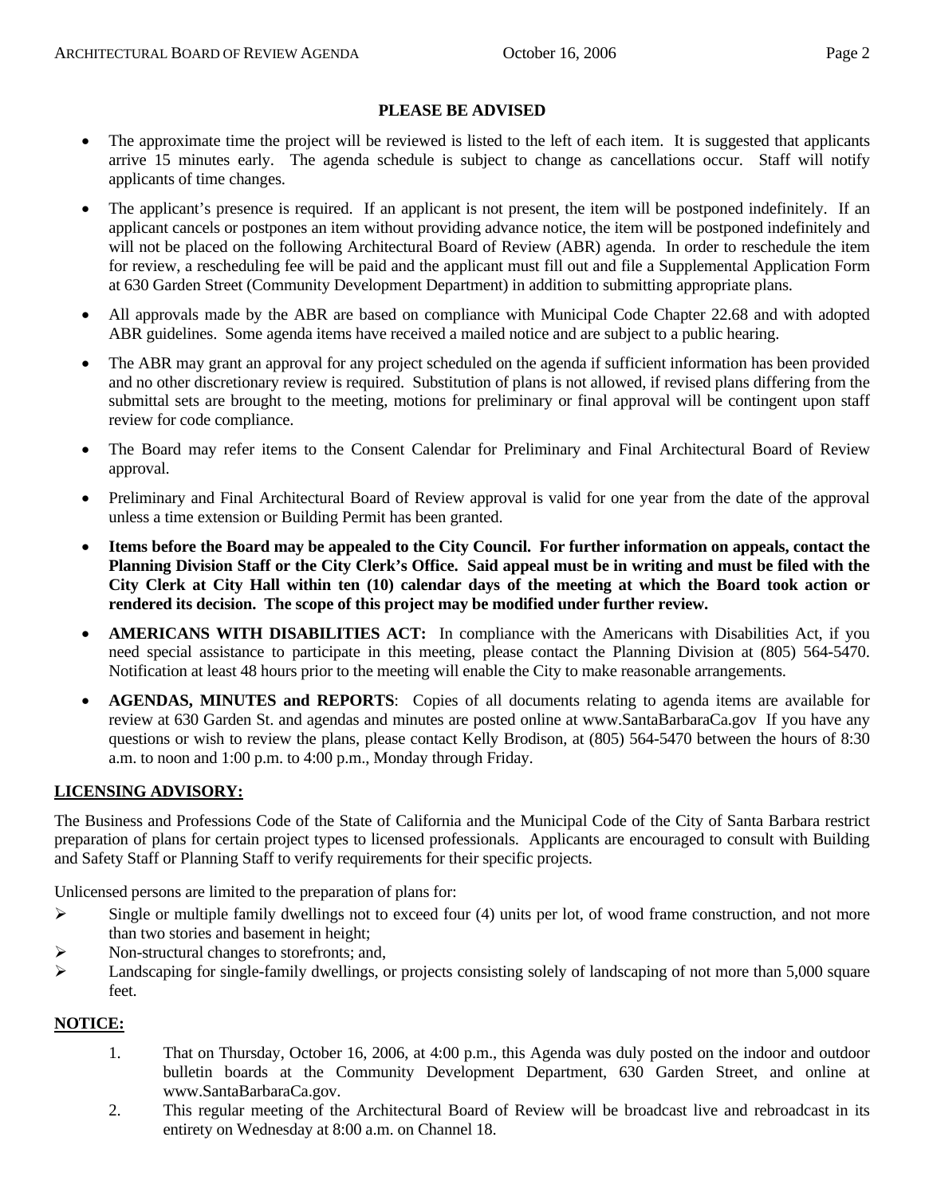#### **PLEASE BE ADVISED**

- The approximate time the project will be reviewed is listed to the left of each item. It is suggested that applicants arrive 15 minutes early. The agenda schedule is subject to change as cancellations occur. Staff will notify applicants of time changes.
- The applicant's presence is required. If an applicant is not present, the item will be postponed indefinitely. If an applicant cancels or postpones an item without providing advance notice, the item will be postponed indefinitely and will not be placed on the following Architectural Board of Review (ABR) agenda. In order to reschedule the item for review, a rescheduling fee will be paid and the applicant must fill out and file a Supplemental Application Form at 630 Garden Street (Community Development Department) in addition to submitting appropriate plans.
- All approvals made by the ABR are based on compliance with Municipal Code Chapter 22.68 and with adopted ABR guidelines. Some agenda items have received a mailed notice and are subject to a public hearing.
- The ABR may grant an approval for any project scheduled on the agenda if sufficient information has been provided and no other discretionary review is required. Substitution of plans is not allowed, if revised plans differing from the submittal sets are brought to the meeting, motions for preliminary or final approval will be contingent upon staff review for code compliance.
- The Board may refer items to the Consent Calendar for Preliminary and Final Architectural Board of Review approval.
- Preliminary and Final Architectural Board of Review approval is valid for one year from the date of the approval unless a time extension or Building Permit has been granted.
- **Items before the Board may be appealed to the City Council. For further information on appeals, contact the Planning Division Staff or the City Clerk's Office. Said appeal must be in writing and must be filed with the City Clerk at City Hall within ten (10) calendar days of the meeting at which the Board took action or rendered its decision. The scope of this project may be modified under further review.**
- **AMERICANS WITH DISABILITIES ACT:** In compliance with the Americans with Disabilities Act, if you need special assistance to participate in this meeting, please contact the Planning Division at (805) 564-5470. Notification at least 48 hours prior to the meeting will enable the City to make reasonable arrangements.
- **AGENDAS, MINUTES and REPORTS**: Copies of all documents relating to agenda items are available for review at 630 Garden St. and agendas and minutes are posted online at [www.SantaBarbaraCa.gov](http://www.santabarbaraca.gov/) If you have any questions or wish to review the plans, please contact Kelly Brodison, at (805) 564-5470 between the hours of 8:30 a.m. to noon and 1:00 p.m. to 4:00 p.m., Monday through Friday.

#### **LICENSING ADVISORY:**

The Business and Professions Code of the State of California and the Municipal Code of the City of Santa Barbara restrict preparation of plans for certain project types to licensed professionals. Applicants are encouraged to consult with Building and Safety Staff or Planning Staff to verify requirements for their specific projects.

Unlicensed persons are limited to the preparation of plans for:

- $\triangleright$  Single or multiple family dwellings not to exceed four (4) units per lot, of wood frame construction, and not more than two stories and basement in height;
- ¾ Non-structural changes to storefronts; and,
- ¾ Landscaping for single-family dwellings, or projects consisting solely of landscaping of not more than 5,000 square feet.

#### **NOTICE:**

- 1. That on Thursday, October 16, 2006, at 4:00 p.m., this Agenda was duly posted on the indoor and outdoor bulletin boards at the Community Development Department, 630 Garden Street, and online at www.SantaBarbaraCa.gov.
- 2. This regular meeting of the Architectural Board of Review will be broadcast live and rebroadcast in its entirety on Wednesday at 8:00 a.m. on Channel 18.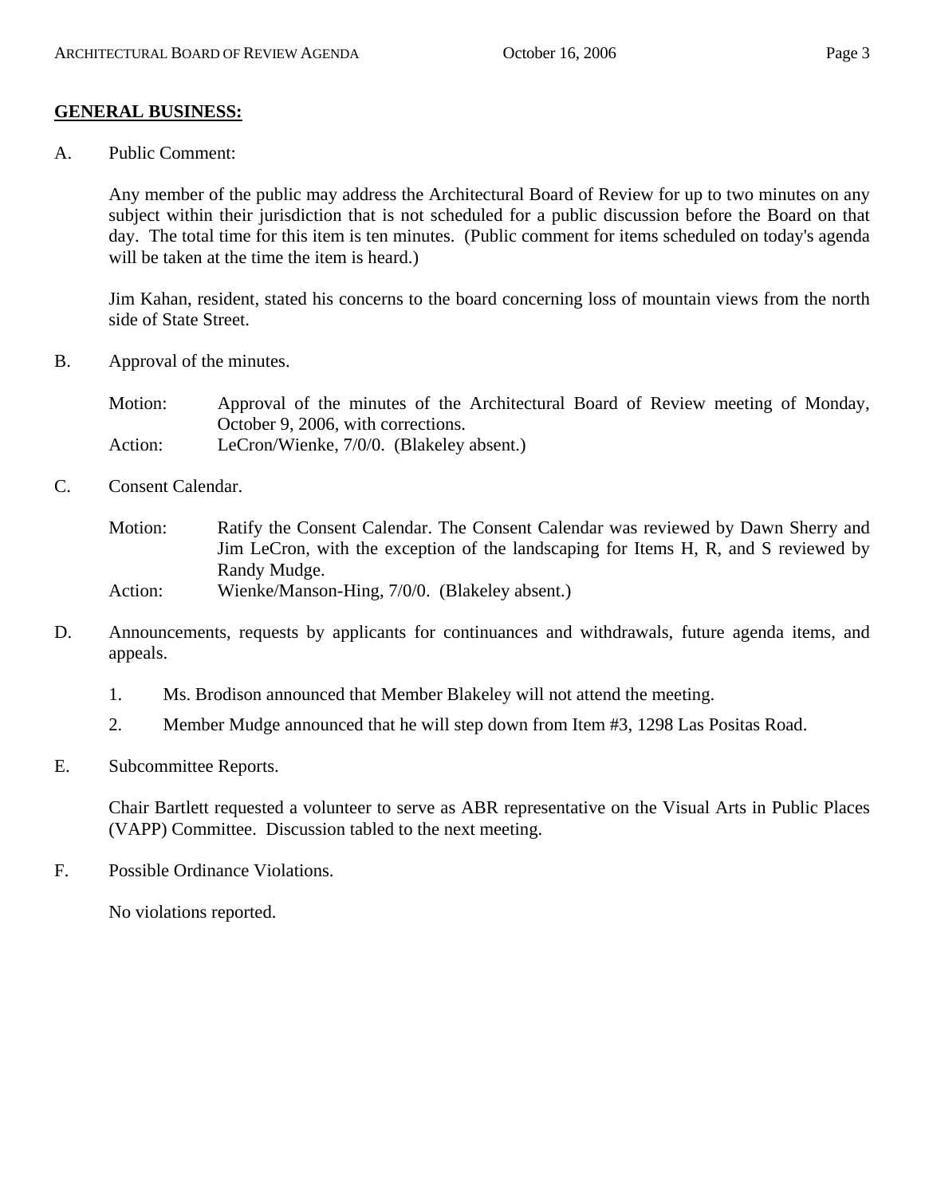## **GENERAL BUSINESS:**

A. Public Comment:

Any member of the public may address the Architectural Board of Review for up to two minutes on any subject within their jurisdiction that is not scheduled for a public discussion before the Board on that day. The total time for this item is ten minutes. (Public comment for items scheduled on today's agenda will be taken at the time the item is heard.)

Jim Kahan, resident, stated his concerns to the board concerning loss of mountain views from the north side of State Street.

B. Approval of the minutes.

Motion: Approval of the minutes of the Architectural Board of Review meeting of Monday, October 9, 2006, with corrections. Action: LeCron/Wienke, 7/0/0. (Blakeley absent.)

C. Consent Calendar.

Motion: Ratify the Consent Calendar. The Consent Calendar was reviewed by Dawn Sherry and Jim LeCron, with the exception of the landscaping for Items H, R, and S reviewed by Randy Mudge. Action: Wienke/Manson-Hing, 7/0/0. (Blakeley absent.)

- D. Announcements, requests by applicants for continuances and withdrawals, future agenda items, and appeals.
	- 1. Ms. Brodison announced that Member Blakeley will not attend the meeting.
	- 2. Member Mudge announced that he will step down from Item #3, 1298 Las Positas Road.
- E. Subcommittee Reports.

Chair Bartlett requested a volunteer to serve as ABR representative on the Visual Arts in Public Places (VAPP) Committee. Discussion tabled to the next meeting.

F. Possible Ordinance Violations.

No violations reported.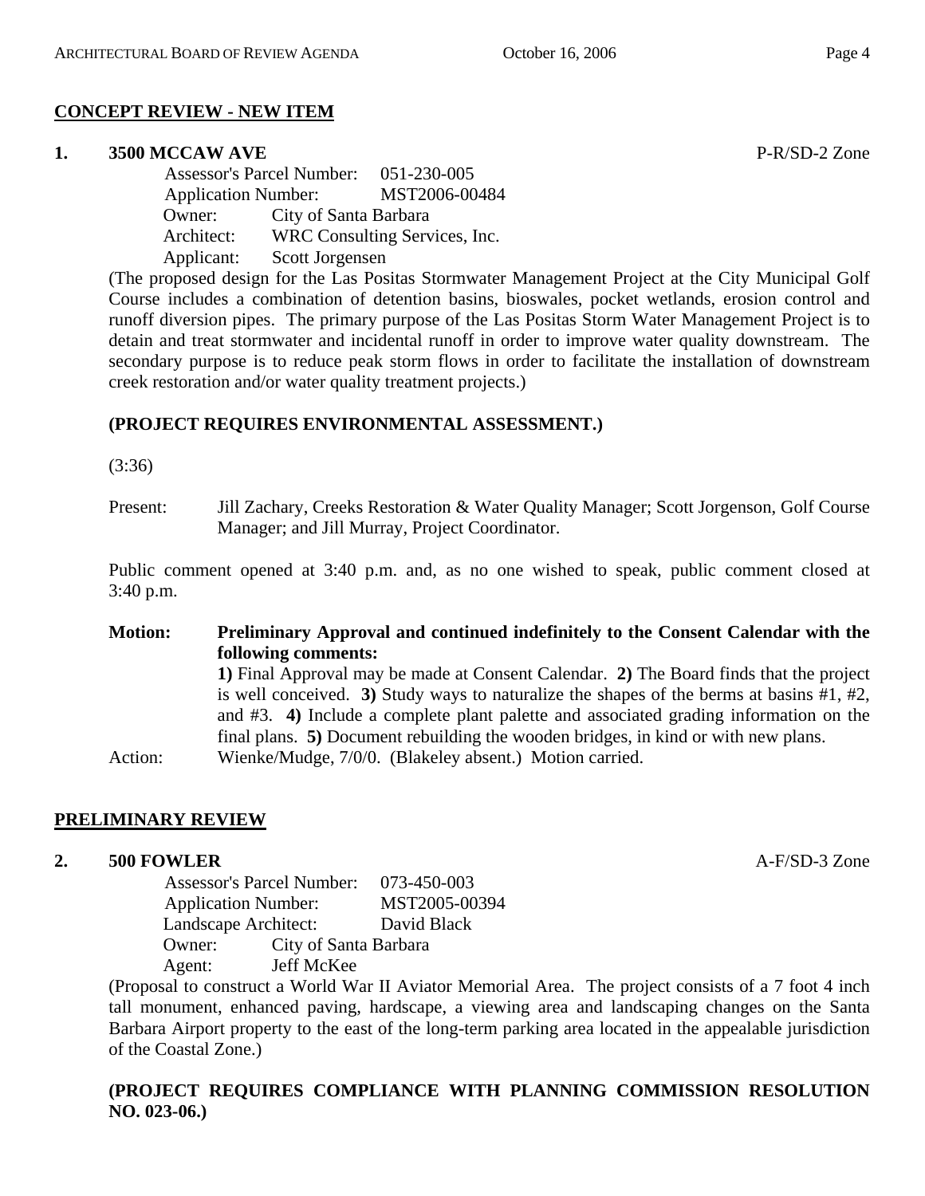#### **CONCEPT REVIEW - NEW ITEM**

#### **1. 3500 MCCAW AVE** P-R/SD-2 Zone

 Assessor's Parcel Number: 051-230-005 Application Number: MST2006-00484 Owner: City of Santa Barbara Architect: WRC Consulting Services, Inc. Applicant: Scott Jorgensen

(The proposed design for the Las Positas Stormwater Management Project at the City Municipal Golf Course includes a combination of detention basins, bioswales, pocket wetlands, erosion control and runoff diversion pipes. The primary purpose of the Las Positas Storm Water Management Project is to detain and treat stormwater and incidental runoff in order to improve water quality downstream. The secondary purpose is to reduce peak storm flows in order to facilitate the installation of downstream creek restoration and/or water quality treatment projects.)

#### **(PROJECT REQUIRES ENVIRONMENTAL ASSESSMENT.)**

(3:36)

Present: Jill Zachary, Creeks Restoration & Water Quality Manager; Scott Jorgenson, Golf Course Manager; and Jill Murray, Project Coordinator.

Public comment opened at 3:40 p.m. and, as no one wished to speak, public comment closed at 3:40 p.m.

# **Motion: Preliminary Approval and continued indefinitely to the Consent Calendar with the following comments:**

**1)** Final Approval may be made at Consent Calendar. **2)** The Board finds that the project is well conceived. **3)** Study ways to naturalize the shapes of the berms at basins #1, #2, and #3. **4)** Include a complete plant palette and associated grading information on the final plans. **5)** Document rebuilding the wooden bridges, in kind or with new plans. Action: Wienke/Mudge, 7/0/0. (Blakeley absent.) Motion carried.

# **PRELIMINARY REVIEW**

#### **2. 500 FOWLER** A-F/SD-3 Zone

 Assessor's Parcel Number: 073-450-003 Application Number: MST2005-00394 Landscape Architect: David Black Owner: City of Santa Barbara Agent: Jeff McKee

(Proposal to construct a World War II Aviator Memorial Area. The project consists of a 7 foot 4 inch tall monument, enhanced paving, hardscape, a viewing area and landscaping changes on the Santa Barbara Airport property to the east of the long-term parking area located in the appealable jurisdiction of the Coastal Zone.)

# **(PROJECT REQUIRES COMPLIANCE WITH PLANNING COMMISSION RESOLUTION NO. 023-06.)**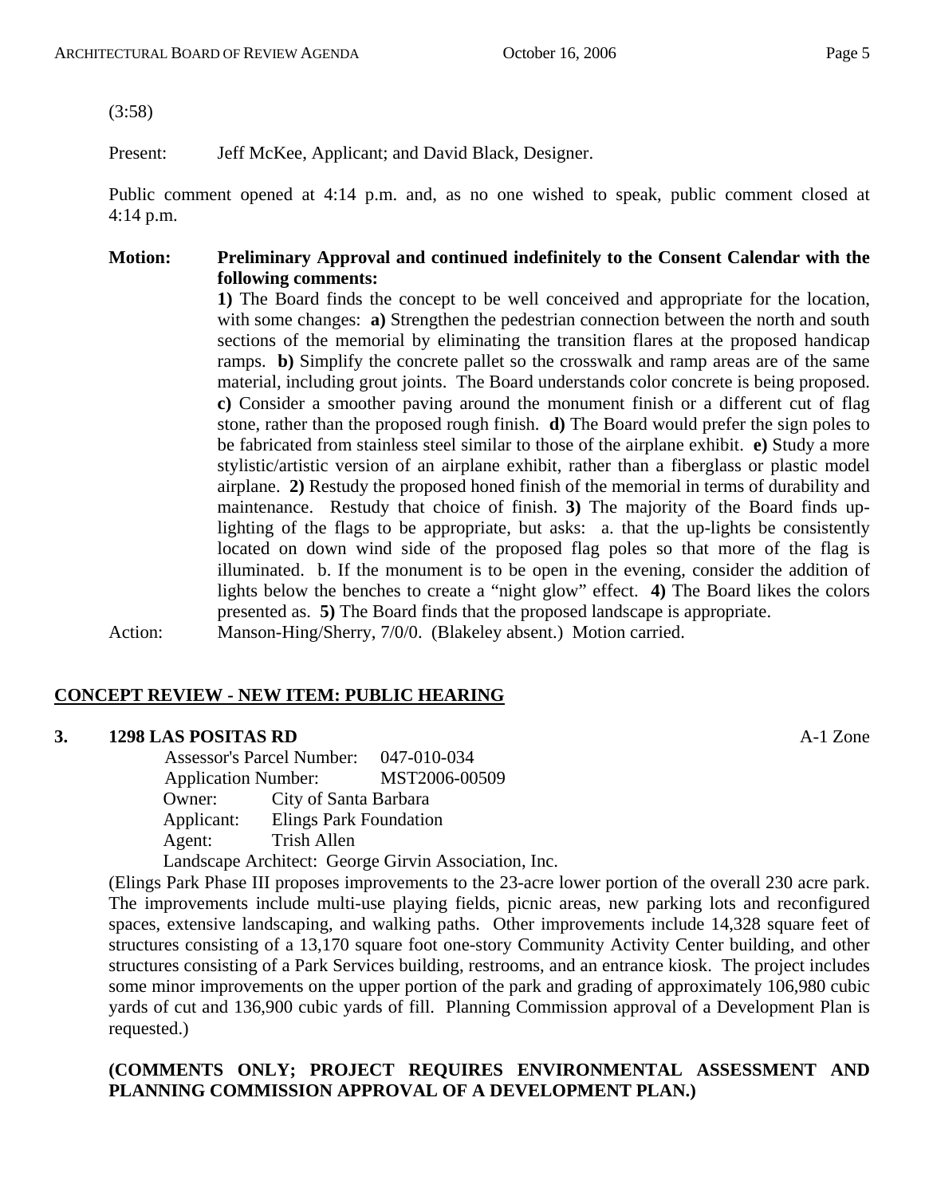(3:58)

Present: Jeff McKee, Applicant; and David Black, Designer.

Public comment opened at 4:14 p.m. and, as no one wished to speak, public comment closed at 4:14 p.m.

#### **Motion: Preliminary Approval and continued indefinitely to the Consent Calendar with the following comments:**

**1)** The Board finds the concept to be well conceived and appropriate for the location, with some changes: **a**) Strengthen the pedestrian connection between the north and south sections of the memorial by eliminating the transition flares at the proposed handicap ramps. **b)** Simplify the concrete pallet so the crosswalk and ramp areas are of the same material, including grout joints. The Board understands color concrete is being proposed. **c)** Consider a smoother paving around the monument finish or a different cut of flag stone, rather than the proposed rough finish. **d)** The Board would prefer the sign poles to be fabricated from stainless steel similar to those of the airplane exhibit. **e)** Study a more stylistic/artistic version of an airplane exhibit, rather than a fiberglass or plastic model airplane. **2)** Restudy the proposed honed finish of the memorial in terms of durability and maintenance. Restudy that choice of finish. **3)** The majority of the Board finds uplighting of the flags to be appropriate, but asks: a. that the up-lights be consistently located on down wind side of the proposed flag poles so that more of the flag is illuminated. b. If the monument is to be open in the evening, consider the addition of lights below the benches to create a "night glow" effect. **4)** The Board likes the colors presented as. **5)** The Board finds that the proposed landscape is appropriate.

# Action: Manson-Hing/Sherry, 7/0/0. (Blakeley absent.) Motion carried.

# **CONCEPT REVIEW - NEW ITEM: PUBLIC HEARING**

#### **3. 1298 LAS POSITAS RD** A-1 Zone

 Assessor's Parcel Number: 047-010-034 Application Number: MST2006-00509 Owner: City of Santa Barbara Applicant: Elings Park Foundation Agent: Trish Allen Landscape Architect: George Girvin Association, Inc.

(Elings Park Phase III proposes improvements to the 23-acre lower portion of the overall 230 acre park. The improvements include multi-use playing fields, picnic areas, new parking lots and reconfigured spaces, extensive landscaping, and walking paths. Other improvements include 14,328 square feet of structures consisting of a 13,170 square foot one-story Community Activity Center building, and other structures consisting of a Park Services building, restrooms, and an entrance kiosk. The project includes some minor improvements on the upper portion of the park and grading of approximately 106,980 cubic yards of cut and 136,900 cubic yards of fill. Planning Commission approval of a Development Plan is requested.)

#### **(COMMENTS ONLY; PROJECT REQUIRES ENVIRONMENTAL ASSESSMENT AND PLANNING COMMISSION APPROVAL OF A DEVELOPMENT PLAN.)**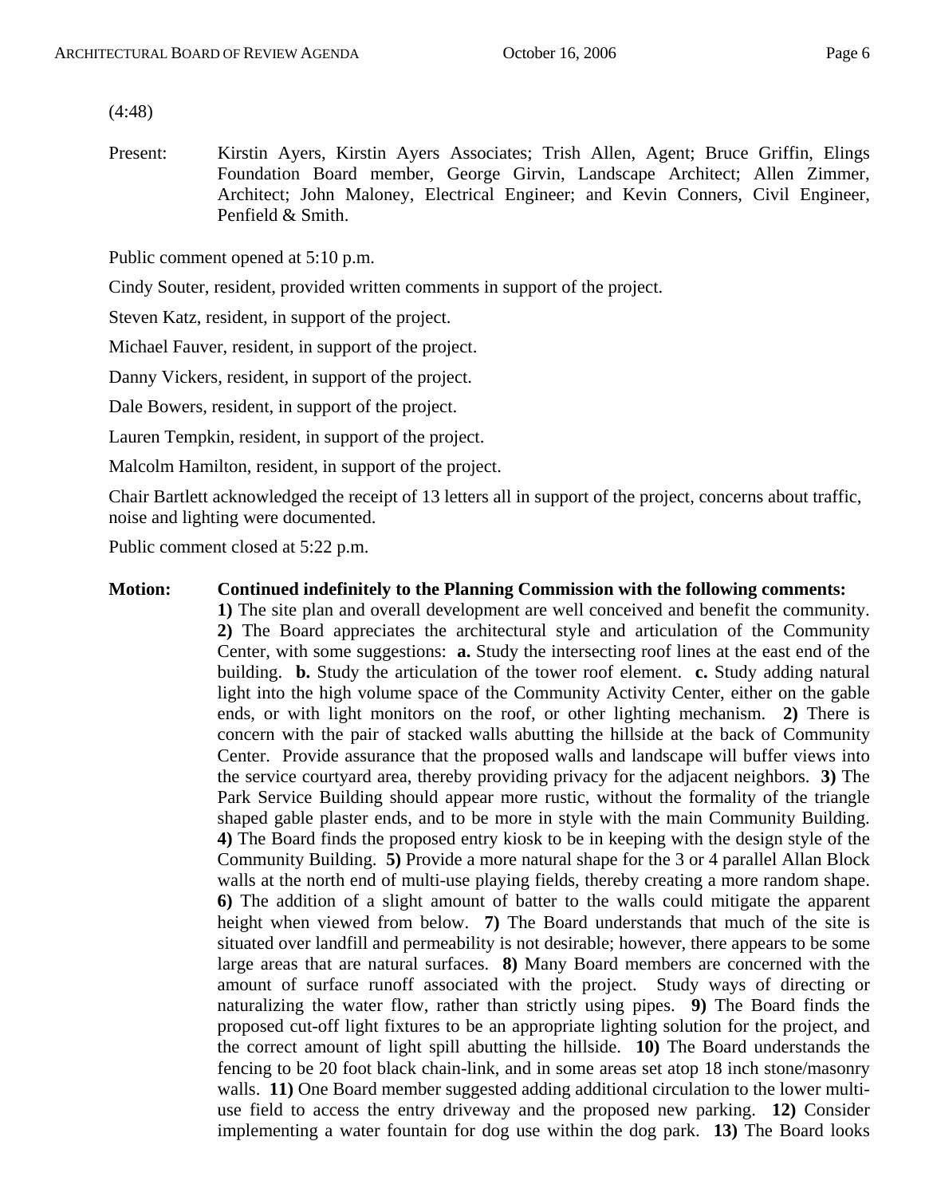(4:48)

Present: Kirstin Ayers, Kirstin Ayers Associates; Trish Allen, Agent; Bruce Griffin, Elings Foundation Board member, George Girvin, Landscape Architect; Allen Zimmer, Architect; John Maloney, Electrical Engineer; and Kevin Conners, Civil Engineer, Penfield & Smith.

Public comment opened at 5:10 p.m.

Cindy Souter, resident, provided written comments in support of the project.

Steven Katz, resident, in support of the project.

Michael Fauver, resident, in support of the project.

Danny Vickers, resident, in support of the project.

Dale Bowers, resident, in support of the project.

Lauren Tempkin, resident, in support of the project.

Malcolm Hamilton, resident, in support of the project.

Chair Bartlett acknowledged the receipt of 13 letters all in support of the project, concerns about traffic, noise and lighting were documented.

Public comment closed at 5:22 p.m.

#### **Motion: Continued indefinitely to the Planning Commission with the following comments:**

**1)** The site plan and overall development are well conceived and benefit the community. **2)** The Board appreciates the architectural style and articulation of the Community Center, with some suggestions: **a.** Study the intersecting roof lines at the east end of the building. **b.** Study the articulation of the tower roof element. **c.** Study adding natural light into the high volume space of the Community Activity Center, either on the gable ends, or with light monitors on the roof, or other lighting mechanism. **2)** There is concern with the pair of stacked walls abutting the hillside at the back of Community Center. Provide assurance that the proposed walls and landscape will buffer views into the service courtyard area, thereby providing privacy for the adjacent neighbors. **3)** The Park Service Building should appear more rustic, without the formality of the triangle shaped gable plaster ends, and to be more in style with the main Community Building. **4)** The Board finds the proposed entry kiosk to be in keeping with the design style of the Community Building. **5)** Provide a more natural shape for the 3 or 4 parallel Allan Block walls at the north end of multi-use playing fields, thereby creating a more random shape. **6)** The addition of a slight amount of batter to the walls could mitigate the apparent height when viewed from below. **7)** The Board understands that much of the site is situated over landfill and permeability is not desirable; however, there appears to be some large areas that are natural surfaces. **8)** Many Board members are concerned with the amount of surface runoff associated with the project. Study ways of directing or naturalizing the water flow, rather than strictly using pipes. **9)** The Board finds the proposed cut-off light fixtures to be an appropriate lighting solution for the project, and the correct amount of light spill abutting the hillside. **10)** The Board understands the fencing to be 20 foot black chain-link, and in some areas set atop 18 inch stone/masonry walls. **11**) One Board member suggested adding additional circulation to the lower multiuse field to access the entry driveway and the proposed new parking. **12)** Consider implementing a water fountain for dog use within the dog park. **13)** The Board looks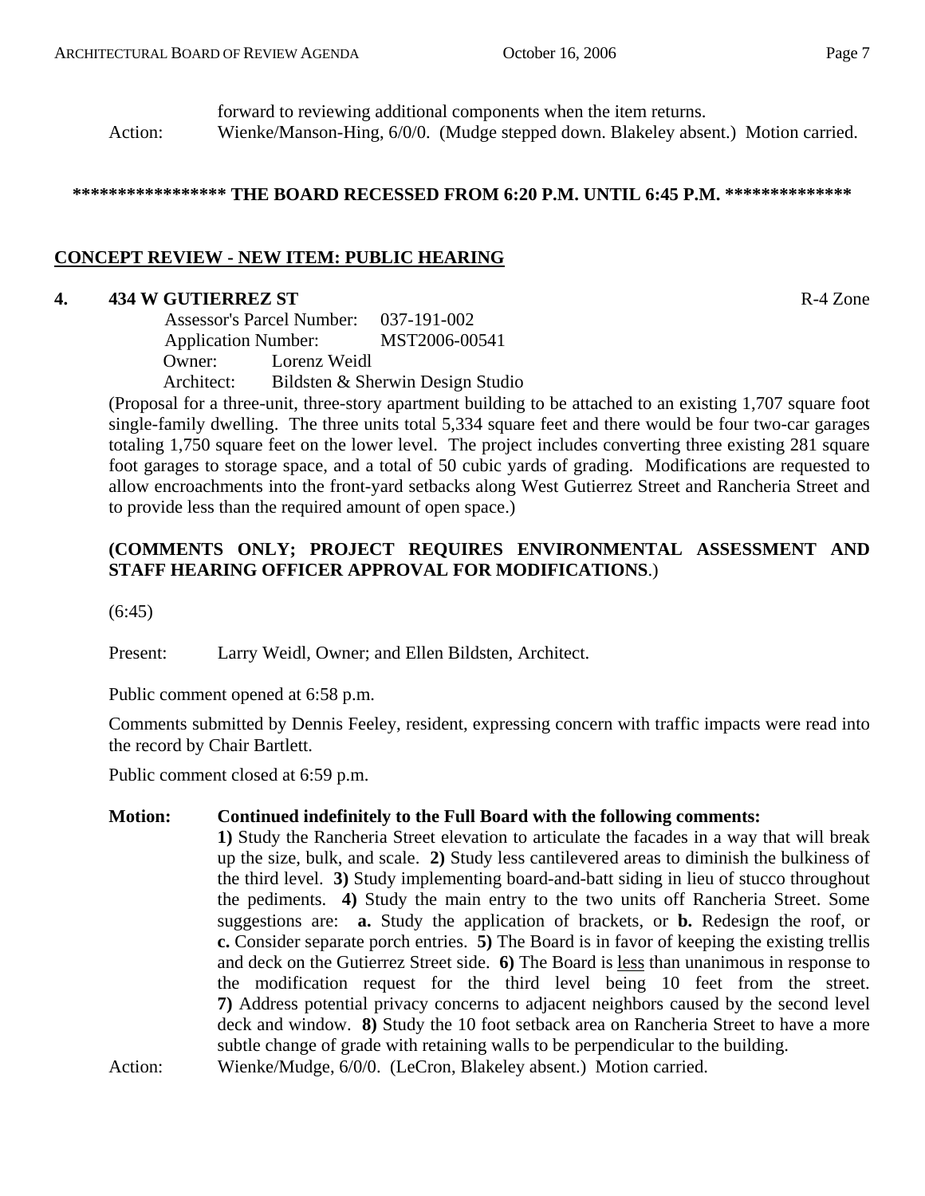forward to reviewing additional components when the item returns. Action: Wienke/Manson-Hing, 6/0/0. (Mudge stepped down. Blakeley absent.) Motion carried.

#### **\*\*\*\*\*\*\*\*\*\*\*\*\*\*\*\*\* THE BOARD RECESSED FROM 6:20 P.M. UNTIL 6:45 P.M. \*\*\*\*\*\*\*\*\*\*\*\*\*\***

# **CONCEPT REVIEW - NEW ITEM: PUBLIC HEARING**

# **4. 434 W GUTIERREZ ST** R-4 Zone

 Assessor's Parcel Number: 037-191-002 Application Number: MST2006-00541 Owner: Lorenz Weidl Architect: Bildsten & Sherwin Design Studio

(Proposal for a three-unit, three-story apartment building to be attached to an existing 1,707 square foot single-family dwelling. The three units total 5,334 square feet and there would be four two-car garages totaling 1,750 square feet on the lower level. The project includes converting three existing 281 square foot garages to storage space, and a total of 50 cubic yards of grading. Modifications are requested to allow encroachments into the front-yard setbacks along West Gutierrez Street and Rancheria Street and to provide less than the required amount of open space.)

# **(COMMENTS ONLY; PROJECT REQUIRES ENVIRONMENTAL ASSESSMENT AND STAFF HEARING OFFICER APPROVAL FOR MODIFICATIONS**.)

(6:45)

Present: Larry Weidl, Owner; and Ellen Bildsten, Architect.

Public comment opened at 6:58 p.m.

Comments submitted by Dennis Feeley, resident, expressing concern with traffic impacts were read into the record by Chair Bartlett.

Public comment closed at 6:59 p.m.

#### **Motion: Continued indefinitely to the Full Board with the following comments:**

**1)** Study the Rancheria Street elevation to articulate the facades in a way that will break up the size, bulk, and scale. **2)** Study less cantilevered areas to diminish the bulkiness of the third level. **3)** Study implementing board-and-batt siding in lieu of stucco throughout the pediments. **4)** Study the main entry to the two units off Rancheria Street. Some suggestions are: **a.** Study the application of brackets, or **b.** Redesign the roof, or **c.** Consider separate porch entries. **5)** The Board is in favor of keeping the existing trellis and deck on the Gutierrez Street side. **6)** The Board is less than unanimous in response to the modification request for the third level being 10 feet from the street. **7)** Address potential privacy concerns to adjacent neighbors caused by the second level deck and window. **8)** Study the 10 foot setback area on Rancheria Street to have a more subtle change of grade with retaining walls to be perpendicular to the building.

Action: Wienke/Mudge, 6/0/0. (LeCron, Blakeley absent.) Motion carried.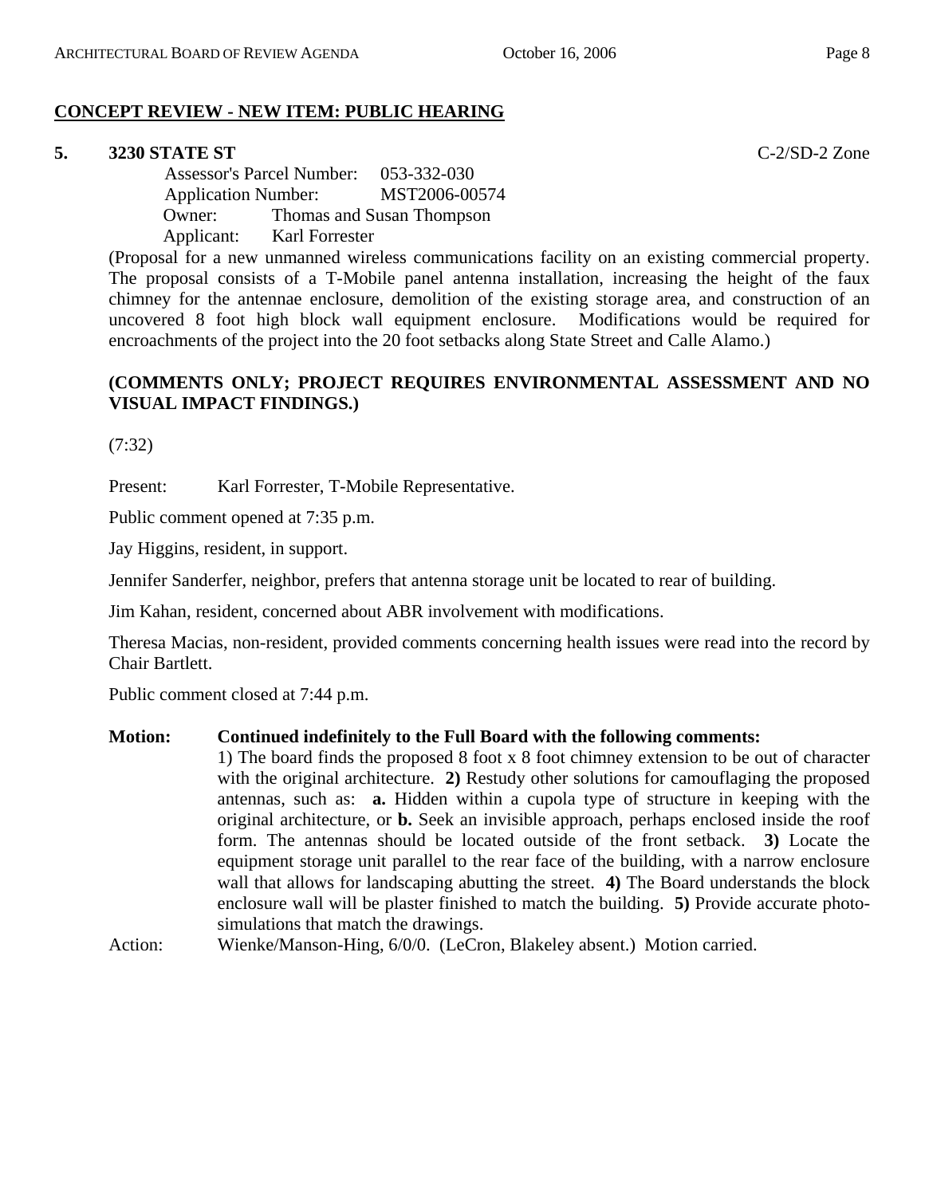# **CONCEPT REVIEW - NEW ITEM: PUBLIC HEARING**

# **5. 3230 STATE ST** C-2/SD-2 Zone

 Assessor's Parcel Number: 053-332-030 Application Number: MST2006-00574 Owner: Thomas and Susan Thompson Applicant: Karl Forrester

(Proposal for a new unmanned wireless communications facility on an existing commercial property. The proposal consists of a T-Mobile panel antenna installation, increasing the height of the faux chimney for the antennae enclosure, demolition of the existing storage area, and construction of an uncovered 8 foot high block wall equipment enclosure. Modifications would be required for encroachments of the project into the 20 foot setbacks along State Street and Calle Alamo.)

# **(COMMENTS ONLY; PROJECT REQUIRES ENVIRONMENTAL ASSESSMENT AND NO VISUAL IMPACT FINDINGS.)**

(7:32)

Present: Karl Forrester, T-Mobile Representative.

Public comment opened at 7:35 p.m.

Jay Higgins, resident, in support.

Jennifer Sanderfer, neighbor, prefers that antenna storage unit be located to rear of building.

Jim Kahan, resident, concerned about ABR involvement with modifications.

Theresa Macias, non-resident, provided comments concerning health issues were read into the record by Chair Bartlett.

Public comment closed at 7:44 p.m.

# **Motion: Continued indefinitely to the Full Board with the following comments:**

1) The board finds the proposed 8 foot x 8 foot chimney extension to be out of character with the original architecture. **2)** Restudy other solutions for camouflaging the proposed antennas, such as: **a.** Hidden within a cupola type of structure in keeping with the original architecture, or **b.** Seek an invisible approach, perhaps enclosed inside the roof form. The antennas should be located outside of the front setback. **3)** Locate the equipment storage unit parallel to the rear face of the building, with a narrow enclosure wall that allows for landscaping abutting the street. **4)** The Board understands the block enclosure wall will be plaster finished to match the building. **5)** Provide accurate photosimulations that match the drawings.

Action: Wienke/Manson-Hing, 6/0/0. (LeCron, Blakeley absent.) Motion carried.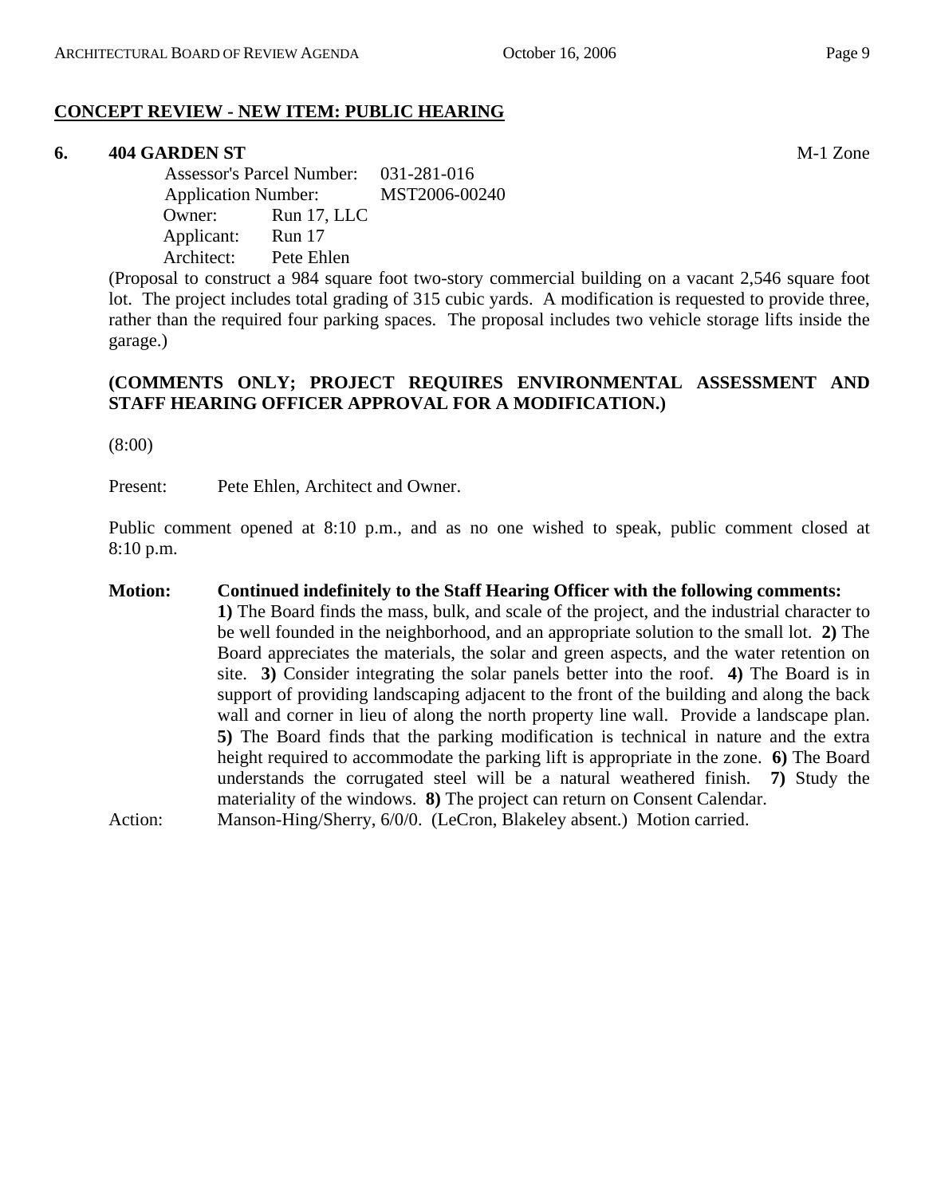# **CONCEPT REVIEW - NEW ITEM: PUBLIC HEARING**

#### **6. 404 GARDEN ST** M-1 Zone

 Assessor's Parcel Number: 031-281-016 Application Number: MST2006-00240 Owner: Run 17, LLC Applicant: Run 17 Architect: Pete Ehlen

(Proposal to construct a 984 square foot two-story commercial building on a vacant 2,546 square foot lot. The project includes total grading of 315 cubic yards. A modification is requested to provide three, rather than the required four parking spaces. The proposal includes two vehicle storage lifts inside the garage.)

#### **(COMMENTS ONLY; PROJECT REQUIRES ENVIRONMENTAL ASSESSMENT AND STAFF HEARING OFFICER APPROVAL FOR A MODIFICATION.)**

(8:00)

Present: Pete Ehlen, Architect and Owner.

Public comment opened at 8:10 p.m., and as no one wished to speak, public comment closed at 8:10 p.m.

## **Motion: Continued indefinitely to the Staff Hearing Officer with the following comments: 1)** The Board finds the mass, bulk, and scale of the project, and the industrial character to be well founded in the neighborhood, and an appropriate solution to the small lot. **2)** The Board appreciates the materials, the solar and green aspects, and the water retention on site. **3)** Consider integrating the solar panels better into the roof. **4)** The Board is in support of providing landscaping adjacent to the front of the building and along the back wall and corner in lieu of along the north property line wall. Provide a landscape plan. **5)** The Board finds that the parking modification is technical in nature and the extra height required to accommodate the parking lift is appropriate in the zone. **6)** The Board understands the corrugated steel will be a natural weathered finish. **7)** Study the materiality of the windows. **8)** The project can return on Consent Calendar. Action: Manson-Hing/Sherry, 6/0/0. (LeCron, Blakeley absent.) Motion carried.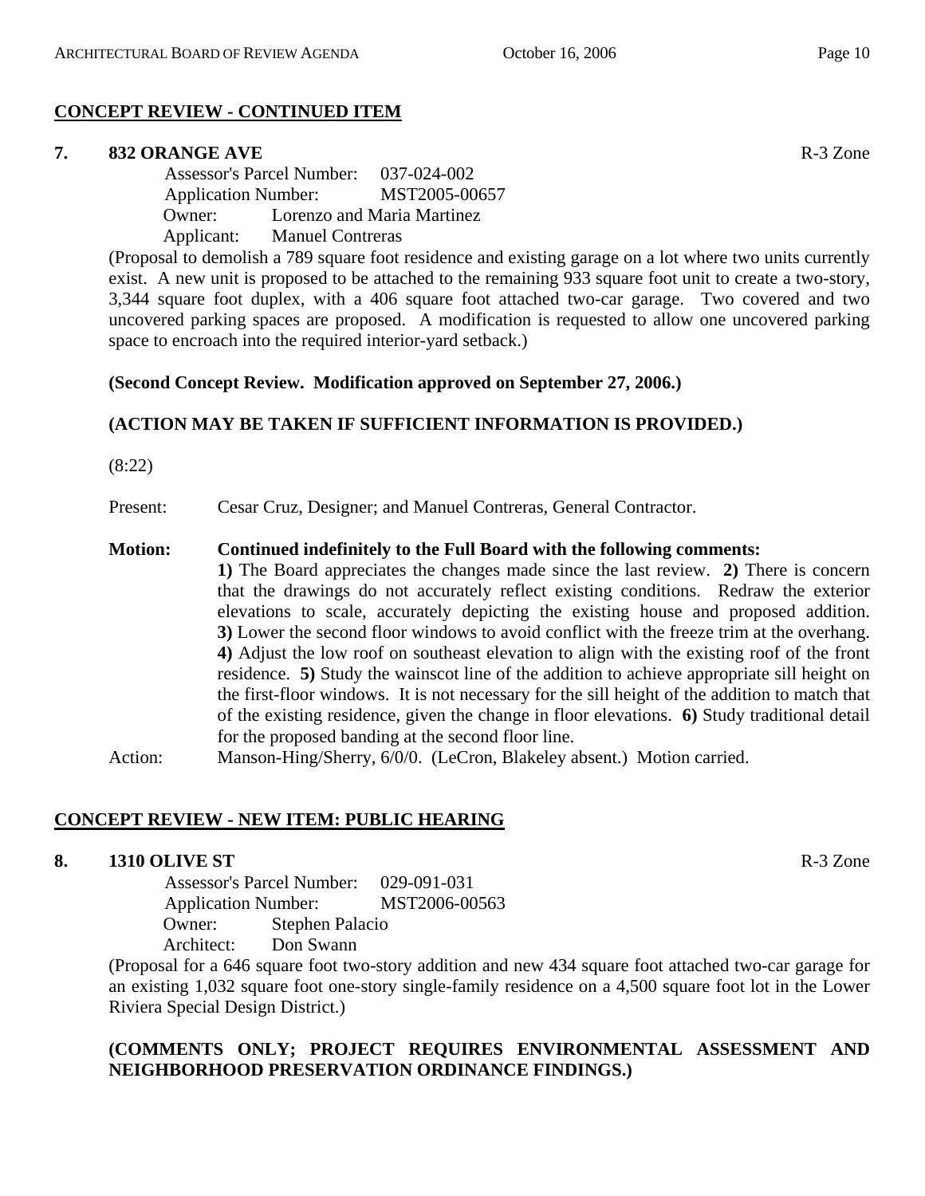# **CONCEPT REVIEW - CONTINUED ITEM**

# **7. 832 ORANGE AVE R-3 Zone**

 Assessor's Parcel Number: 037-024-002 Application Number: MST2005-00657 Owner: Lorenzo and Maria Martinez Applicant: Manuel Contreras

(Proposal to demolish a 789 square foot residence and existing garage on a lot where two units currently exist. A new unit is proposed to be attached to the remaining 933 square foot unit to create a two-story, 3,344 square foot duplex, with a 406 square foot attached two-car garage. Two covered and two uncovered parking spaces are proposed. A modification is requested to allow one uncovered parking space to encroach into the required interior-yard setback.)

# **(Second Concept Review. Modification approved on September 27, 2006.)**

# **(ACTION MAY BE TAKEN IF SUFFICIENT INFORMATION IS PROVIDED.)**

(8:22)

Present: Cesar Cruz, Designer; and Manuel Contreras, General Contractor.

#### **Motion: Continued indefinitely to the Full Board with the following comments:**

**1)** The Board appreciates the changes made since the last review. **2)** There is concern that the drawings do not accurately reflect existing conditions. Redraw the exterior elevations to scale, accurately depicting the existing house and proposed addition. **3)** Lower the second floor windows to avoid conflict with the freeze trim at the overhang. **4)** Adjust the low roof on southeast elevation to align with the existing roof of the front residence. **5)** Study the wainscot line of the addition to achieve appropriate sill height on the first-floor windows. It is not necessary for the sill height of the addition to match that of the existing residence, given the change in floor elevations. **6)** Study traditional detail for the proposed banding at the second floor line.

Action: Manson-Hing/Sherry, 6/0/0. (LeCron, Blakeley absent.) Motion carried.

# **CONCEPT REVIEW - NEW ITEM: PUBLIC HEARING**

# **8. 1310 OLIVE ST** R-3 Zone

 Assessor's Parcel Number: 029-091-031 Application Number: MST2006-00563 Owner: Stephen Palacio Architect: Don Swann

(Proposal for a 646 square foot two-story addition and new 434 square foot attached two-car garage for an existing 1,032 square foot one-story single-family residence on a 4,500 square foot lot in the Lower Riviera Special Design District.)

# **(COMMENTS ONLY; PROJECT REQUIRES ENVIRONMENTAL ASSESSMENT AND NEIGHBORHOOD PRESERVATION ORDINANCE FINDINGS.)**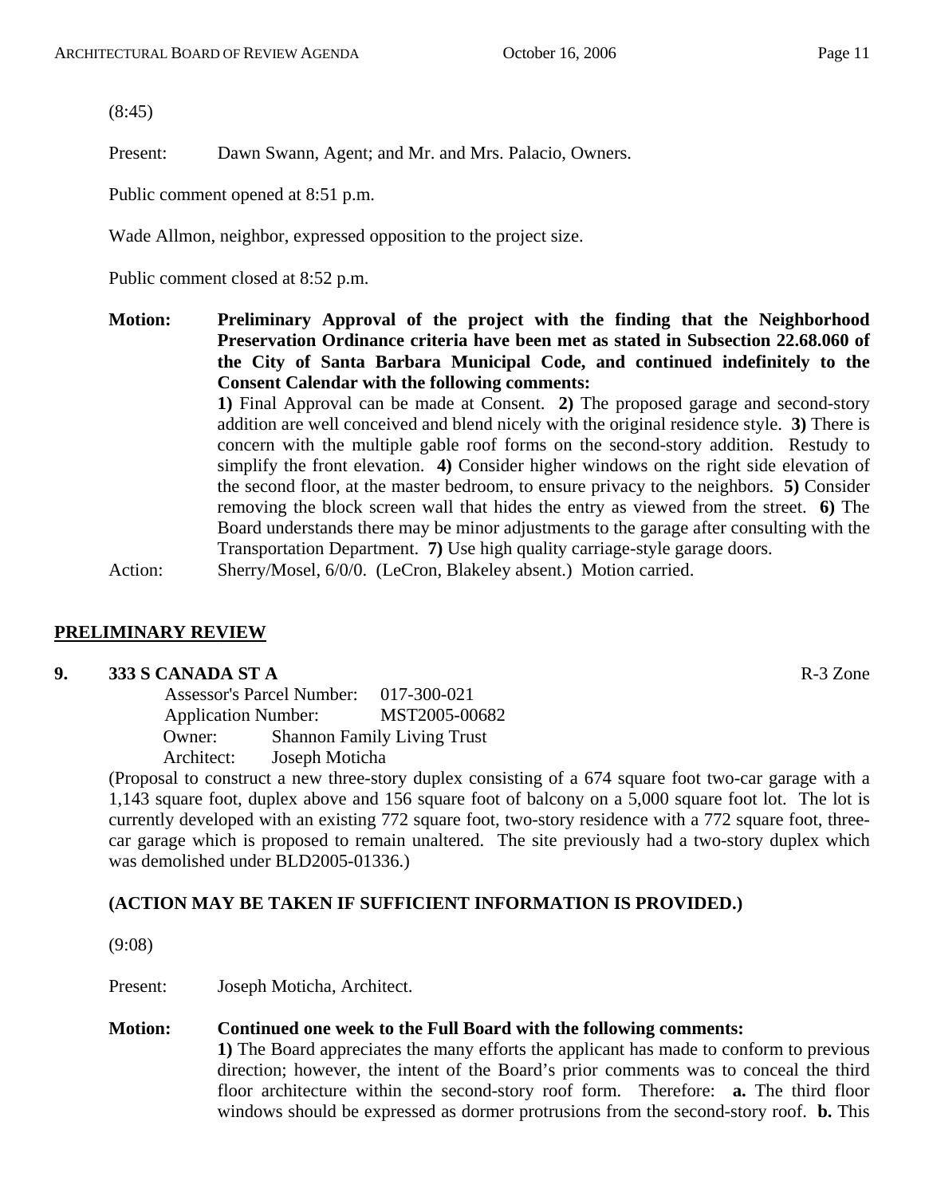(8:45)

Present: Dawn Swann, Agent; and Mr. and Mrs. Palacio, Owners.

Public comment opened at 8:51 p.m.

Wade Allmon, neighbor, expressed opposition to the project size.

Public comment closed at 8:52 p.m.

**Motion: Preliminary Approval of the project with the finding that the Neighborhood Preservation Ordinance criteria have been met as stated in Subsection 22.68.060 of the City of Santa Barbara Municipal Code, and continued indefinitely to the Consent Calendar with the following comments:** 

> **1)** Final Approval can be made at Consent. **2)** The proposed garage and second-story addition are well conceived and blend nicely with the original residence style. **3)** There is concern with the multiple gable roof forms on the second-story addition. Restudy to simplify the front elevation. **4)** Consider higher windows on the right side elevation of the second floor, at the master bedroom, to ensure privacy to the neighbors. **5)** Consider removing the block screen wall that hides the entry as viewed from the street. **6)** The Board understands there may be minor adjustments to the garage after consulting with the Transportation Department. **7)** Use high quality carriage-style garage doors.

Action: Sherry/Mosel, 6/0/0. (LeCron, Blakeley absent.) Motion carried.

#### **PRELIMINARY REVIEW**

#### **9. 333 S CANADA ST A** R-3 Zone

 Assessor's Parcel Number: 017-300-021 Application Number: MST2005-00682 Owner: Shannon Family Living Trust Architect: Joseph Moticha

(Proposal to construct a new three-story duplex consisting of a 674 square foot two-car garage with a 1,143 square foot, duplex above and 156 square foot of balcony on a 5,000 square foot lot. The lot is currently developed with an existing 772 square foot, two-story residence with a 772 square foot, threecar garage which is proposed to remain unaltered. The site previously had a two-story duplex which was demolished under BLD2005-01336.)

#### **(ACTION MAY BE TAKEN IF SUFFICIENT INFORMATION IS PROVIDED.)**

(9:08)

Present: Joseph Moticha, Architect.

#### **Motion: Continued one week to the Full Board with the following comments:**

**1)** The Board appreciates the many efforts the applicant has made to conform to previous direction; however, the intent of the Board's prior comments was to conceal the third floor architecture within the second-story roof form. Therefore: **a.** The third floor windows should be expressed as dormer protrusions from the second-story roof. **b.** This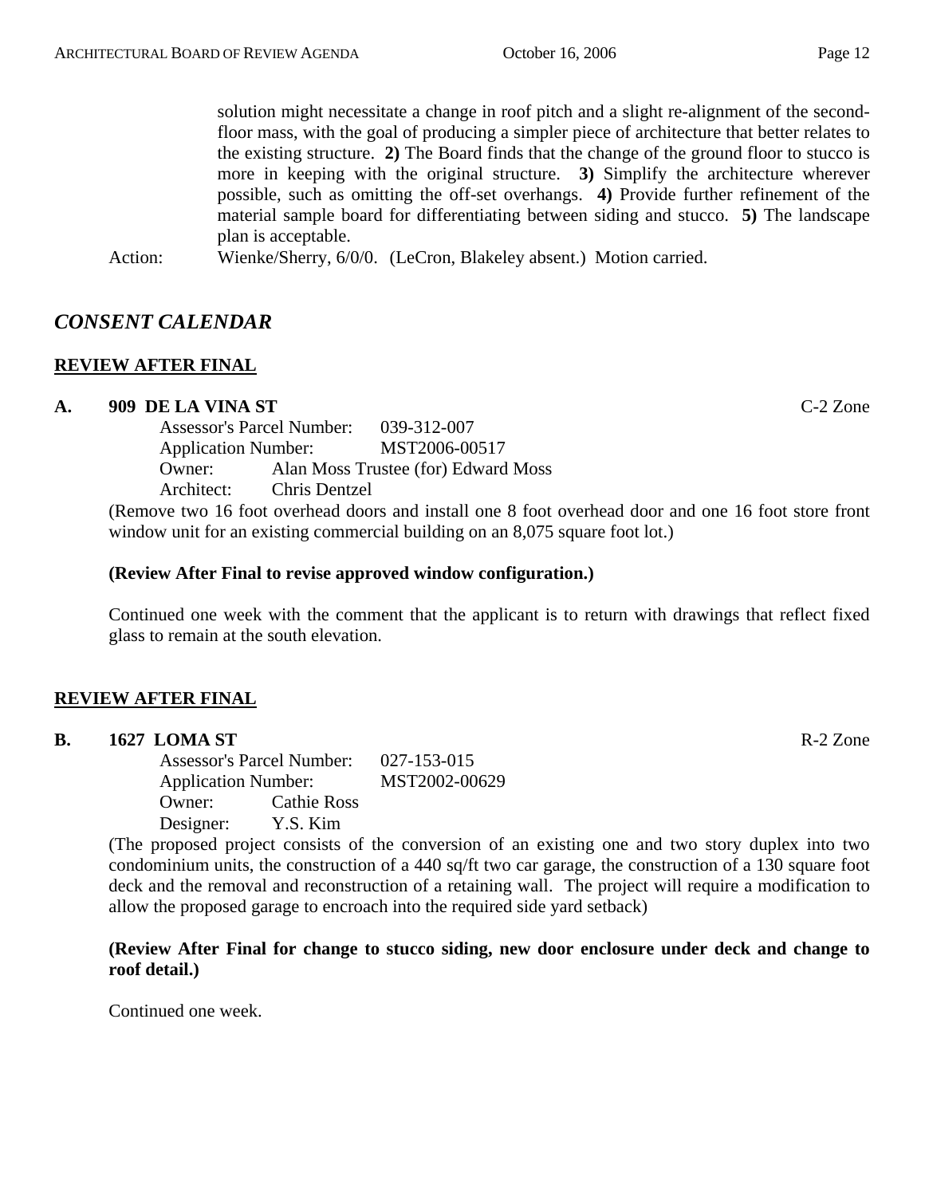solution might necessitate a change in roof pitch and a slight re-alignment of the secondfloor mass, with the goal of producing a simpler piece of architecture that better relates to the existing structure. **2)** The Board finds that the change of the ground floor to stucco is more in keeping with the original structure. **3)** Simplify the architecture wherever possible, such as omitting the off-set overhangs. **4)** Provide further refinement of the material sample board for differentiating between siding and stucco. **5)** The landscape plan is acceptable.

Action: Wienke/Sherry, 6/0/0. (LeCron, Blakeley absent.) Motion carried.

# *CONSENT CALENDAR*

# **REVIEW AFTER FINAL**

#### **A. 909 DE LA VINA ST** C-2 Zone

Assessor's Parcel Number: 039-312-007 Application Number: MST2006-00517 Owner: Alan Moss Trustee (for) Edward Moss Architect: Chris Dentzel

(Remove two 16 foot overhead doors and install one 8 foot overhead door and one 16 foot store front window unit for an existing commercial building on an 8,075 square foot lot.)

#### **(Review After Final to revise approved window configuration.)**

Continued one week with the comment that the applicant is to return with drawings that reflect fixed glass to remain at the south elevation.

# **REVIEW AFTER FINAL**

| <b>B.</b><br>1627 LOMA ST | R-2 Zone |
|---------------------------|----------|
|---------------------------|----------|

Assessor's Parcel Number: 027-153-015 Application Number: MST2002-00629 Owner: Cathie Ross Designer: Y.S. Kim

(The proposed project consists of the conversion of an existing one and two story duplex into two condominium units, the construction of a 440 sq/ft two car garage, the construction of a 130 square foot deck and the removal and reconstruction of a retaining wall. The project will require a modification to allow the proposed garage to encroach into the required side yard setback)

**(Review After Final for change to stucco siding, new door enclosure under deck and change to roof detail.)** 

Continued one week.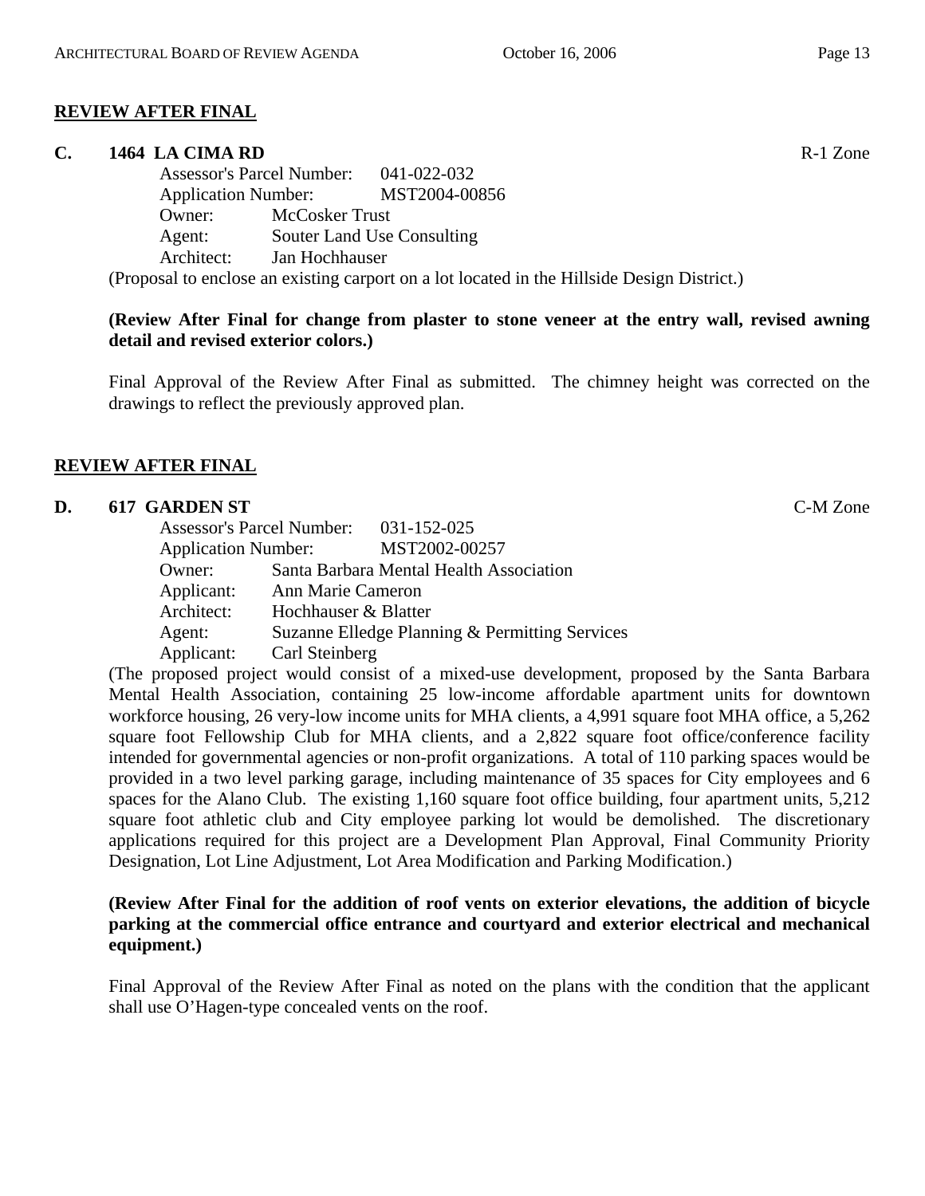#### **REVIEW AFTER FINAL**

#### **C. 1464 LA CIMA RD** R-1 Zone

Assessor's Parcel Number: 041-022-032 Application Number: MST2004-00856 Owner: McCosker Trust Agent: Souter Land Use Consulting Architect: Jan Hochhauser

(Proposal to enclose an existing carport on a lot located in the Hillside Design District.)

#### **(Review After Final for change from plaster to stone veneer at the entry wall, revised awning detail and revised exterior colors.)**

Final Approval of the Review After Final as submitted. The chimney height was corrected on the drawings to reflect the previously approved plan.

#### **REVIEW AFTER FINAL**

#### **D. 617 GARDEN ST** C-M Zone

| <b>Assessor's Parcel Number:</b> | 031-152-025                                    |
|----------------------------------|------------------------------------------------|
| <b>Application Number:</b>       | MST2002-00257                                  |
| Owner:                           | Santa Barbara Mental Health Association        |
| Applicant:                       | Ann Marie Cameron                              |
| Architect:                       | Hochhauser & Blatter                           |
| Agent:                           | Suzanne Elledge Planning & Permitting Services |
| Applicant:                       | Carl Steinberg                                 |

(The proposed project would consist of a mixed-use development, proposed by the Santa Barbara Mental Health Association, containing 25 low-income affordable apartment units for downtown workforce housing, 26 very-low income units for MHA clients, a 4,991 square foot MHA office, a 5,262 square foot Fellowship Club for MHA clients, and a 2,822 square foot office/conference facility intended for governmental agencies or non-profit organizations. A total of 110 parking spaces would be provided in a two level parking garage, including maintenance of 35 spaces for City employees and 6 spaces for the Alano Club. The existing 1,160 square foot office building, four apartment units, 5,212 square foot athletic club and City employee parking lot would be demolished. The discretionary applications required for this project are a Development Plan Approval, Final Community Priority Designation, Lot Line Adjustment, Lot Area Modification and Parking Modification.)

#### **(Review After Final for the addition of roof vents on exterior elevations, the addition of bicycle parking at the commercial office entrance and courtyard and exterior electrical and mechanical equipment.)**

Final Approval of the Review After Final as noted on the plans with the condition that the applicant shall use O'Hagen-type concealed vents on the roof.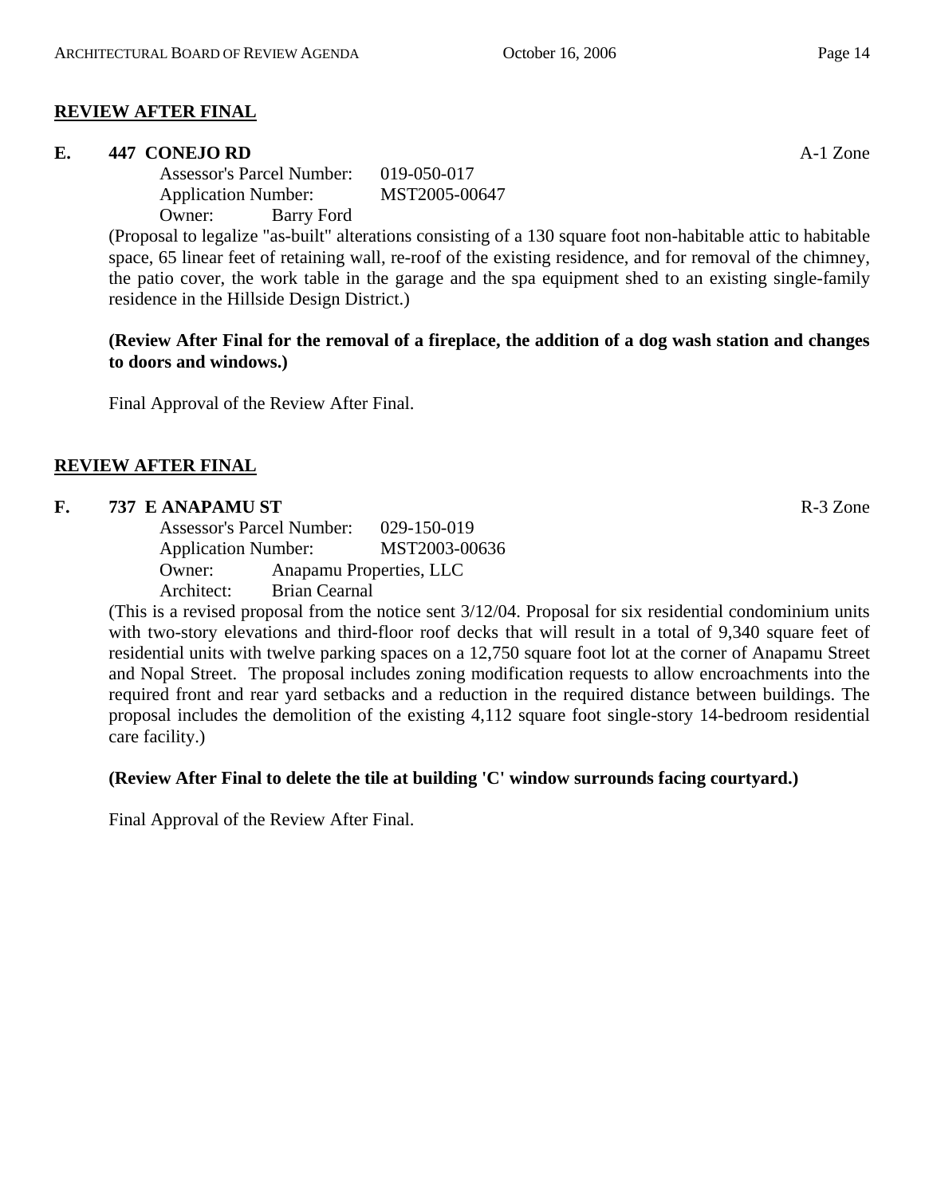#### **REVIEW AFTER FINAL**

#### **E. 447 CONEJO RD** A-1 Zone

Assessor's Parcel Number: 019-050-017 Application Number: MST2005-00647 Owner: Barry Ford

(Proposal to legalize "as-built" alterations consisting of a 130 square foot non-habitable attic to habitable space, 65 linear feet of retaining wall, re-roof of the existing residence, and for removal of the chimney, the patio cover, the work table in the garage and the spa equipment shed to an existing single-family residence in the Hillside Design District.)

**(Review After Final for the removal of a fireplace, the addition of a dog wash station and changes to doors and windows.)** 

Final Approval of the Review After Final.

#### **REVIEW AFTER FINAL**

#### **F. 737 E ANAPAMU ST** R-3 Zone

Assessor's Parcel Number: 029-150-019 Application Number: MST2003-00636 Owner: Anapamu Properties, LLC Architect: Brian Cearnal

(This is a revised proposal from the notice sent 3/12/04. Proposal for six residential condominium units with two-story elevations and third-floor roof decks that will result in a total of 9,340 square feet of residential units with twelve parking spaces on a 12,750 square foot lot at the corner of Anapamu Street and Nopal Street. The proposal includes zoning modification requests to allow encroachments into the required front and rear yard setbacks and a reduction in the required distance between buildings. The proposal includes the demolition of the existing 4,112 square foot single-story 14-bedroom residential care facility.)

#### **(Review After Final to delete the tile at building 'C' window surrounds facing courtyard.)**

Final Approval of the Review After Final.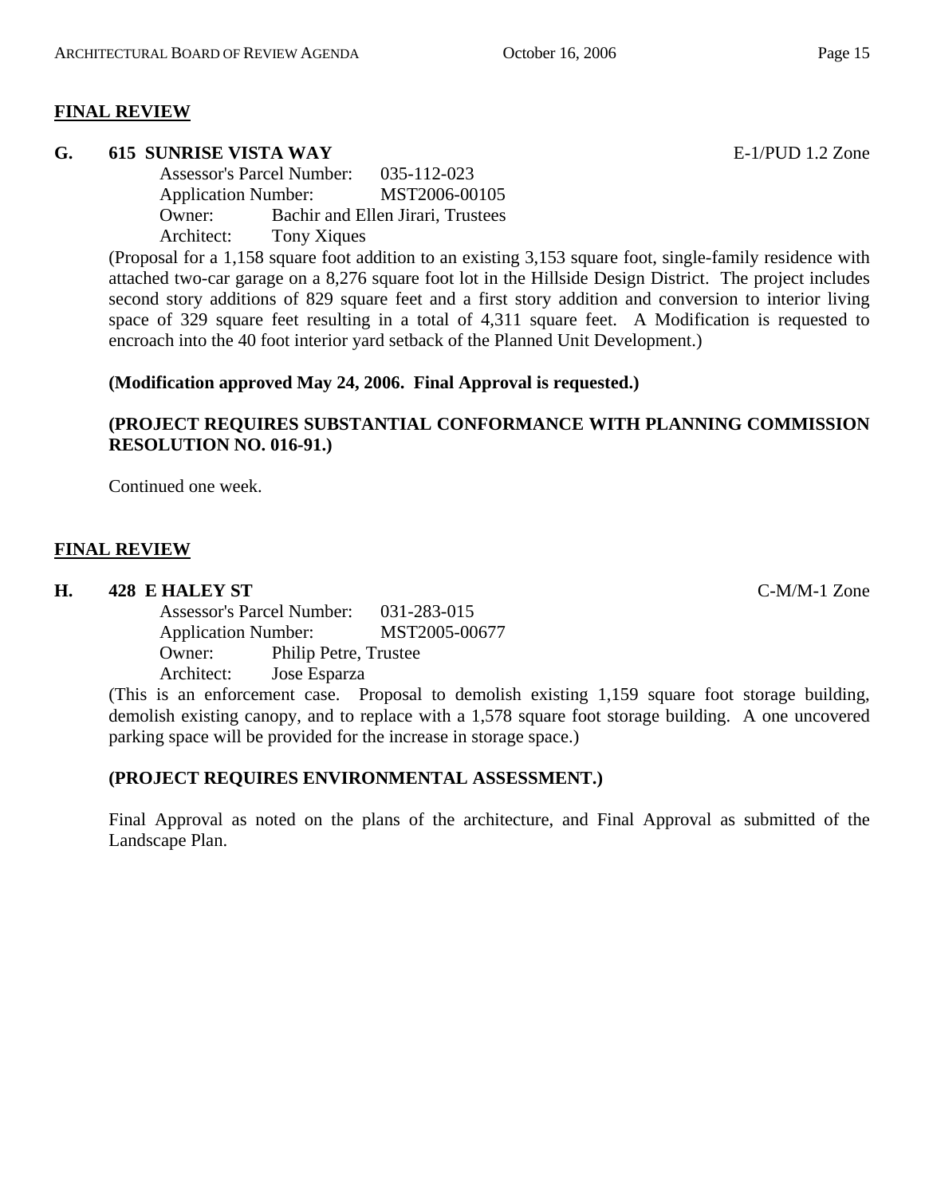#### **FINAL REVIEW**

#### **G. 615 SUNRISE VISTA WAY** E-1/PUD 1.2 Zone

Assessor's Parcel Number: 035-112-023 Application Number: MST2006-00105 Owner: Bachir and Ellen Jirari, Trustees Architect: Tony Xiques

(Proposal for a 1,158 square foot addition to an existing 3,153 square foot, single-family residence with attached two-car garage on a 8,276 square foot lot in the Hillside Design District. The project includes second story additions of 829 square feet and a first story addition and conversion to interior living space of 329 square feet resulting in a total of 4,311 square feet. A Modification is requested to encroach into the 40 foot interior yard setback of the Planned Unit Development.)

#### **(Modification approved May 24, 2006. Final Approval is requested.)**

# **(PROJECT REQUIRES SUBSTANTIAL CONFORMANCE WITH PLANNING COMMISSION RESOLUTION NO. 016-91.)**

Continued one week.

#### **FINAL REVIEW**

#### **H. 428 E HALEY ST** C-M/M-1 Zone

Assessor's Parcel Number: 031-283-015 Application Number: MST2005-00677 Owner: Philip Petre, Trustee Architect: Jose Esparza

(This is an enforcement case. Proposal to demolish existing 1,159 square foot storage building, demolish existing canopy, and to replace with a 1,578 square foot storage building. A one uncovered parking space will be provided for the increase in storage space.)

#### **(PROJECT REQUIRES ENVIRONMENTAL ASSESSMENT.)**

Final Approval as noted on the plans of the architecture, and Final Approval as submitted of the Landscape Plan.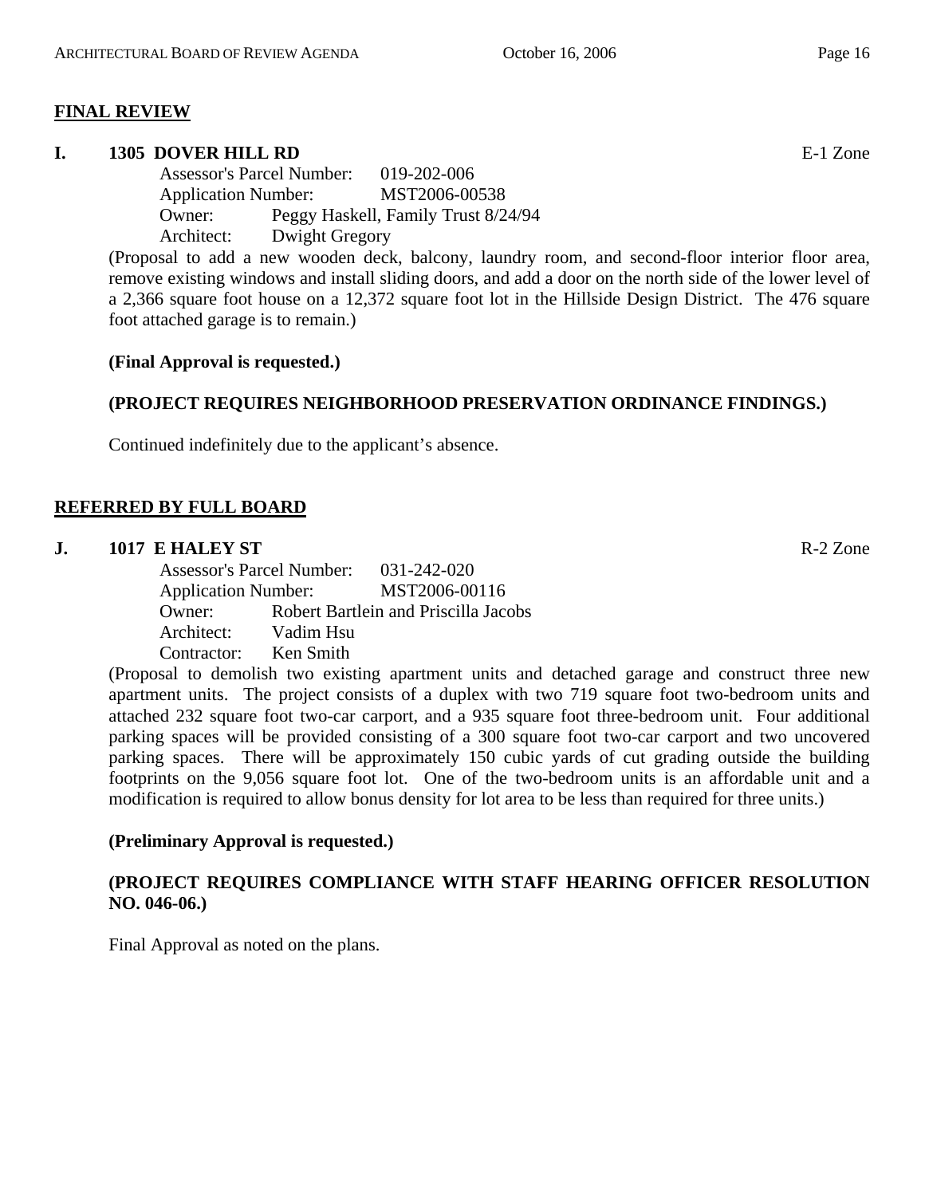#### **FINAL REVIEW**

#### **I. 1305 DOVER HILL RD** E-1 Zone

Assessor's Parcel Number: 019-202-006 Application Number: MST2006-00538 Owner: Peggy Haskell, Family Trust 8/24/94 Architect: Dwight Gregory

(Proposal to add a new wooden deck, balcony, laundry room, and second-floor interior floor area, remove existing windows and install sliding doors, and add a door on the north side of the lower level of a 2,366 square foot house on a 12,372 square foot lot in the Hillside Design District. The 476 square foot attached garage is to remain.)

#### **(Final Approval is requested.)**

#### **(PROJECT REQUIRES NEIGHBORHOOD PRESERVATION ORDINANCE FINDINGS.)**

Continued indefinitely due to the applicant's absence.

#### **REFERRED BY FULL BOARD**

#### **J. 1017 E HALEY ST** R-2 Zone

Assessor's Parcel Number: 031-242-020 Application Number: MST2006-00116 Owner: Robert Bartlein and Priscilla Jacobs Architect: Vadim Hsu Contractor: Ken Smith

(Proposal to demolish two existing apartment units and detached garage and construct three new apartment units. The project consists of a duplex with two 719 square foot two-bedroom units and attached 232 square foot two-car carport, and a 935 square foot three-bedroom unit. Four additional parking spaces will be provided consisting of a 300 square foot two-car carport and two uncovered parking spaces. There will be approximately 150 cubic yards of cut grading outside the building footprints on the 9,056 square foot lot. One of the two-bedroom units is an affordable unit and a modification is required to allow bonus density for lot area to be less than required for three units.)

#### **(Preliminary Approval is requested.)**

#### **(PROJECT REQUIRES COMPLIANCE WITH STAFF HEARING OFFICER RESOLUTION NO. 046-06.)**

Final Approval as noted on the plans.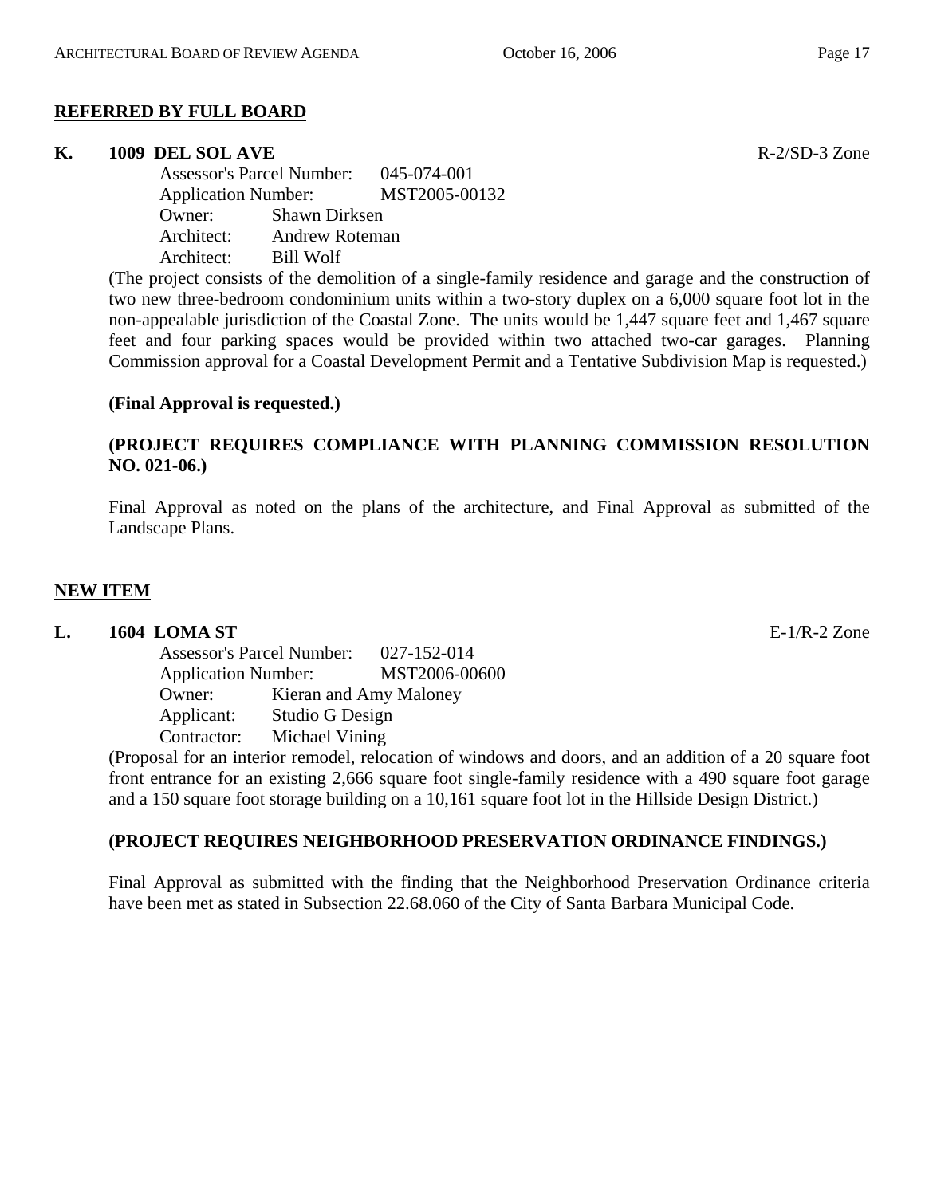#### **REFERRED BY FULL BOARD**

#### **K.** 1009 DEL SOL AVE **RELACE 2008** R-2/SD-3 Zone

Assessor's Parcel Number: 045-074-001 Application Number: MST2005-00132 Owner: Shawn Dirksen Architect: Andrew Roteman Architect: Bill Wolf

(The project consists of the demolition of a single-family residence and garage and the construction of two new three-bedroom condominium units within a two-story duplex on a 6,000 square foot lot in the non-appealable jurisdiction of the Coastal Zone. The units would be 1,447 square feet and 1,467 square feet and four parking spaces would be provided within two attached two-car garages. Planning Commission approval for a Coastal Development Permit and a Tentative Subdivision Map is requested.)

#### **(Final Approval is requested.)**

# **(PROJECT REQUIRES COMPLIANCE WITH PLANNING COMMISSION RESOLUTION NO. 021-06.)**

Final Approval as noted on the plans of the architecture, and Final Approval as submitted of the Landscape Plans.

#### **NEW ITEM**

#### **L. 1604 LOMA ST** E-1/R-2 Zone

| <b>Assessor's Parcel Number:</b> |                 | 027-152-014            |
|----------------------------------|-----------------|------------------------|
| <b>Application Number:</b>       |                 | MST2006-00600          |
| Owner:                           |                 | Kieran and Amy Maloney |
| Applicant:                       | Studio G Design |                        |
| Contractor:                      | Michael Vining  |                        |

(Proposal for an interior remodel, relocation of windows and doors, and an addition of a 20 square foot front entrance for an existing 2,666 square foot single-family residence with a 490 square foot garage and a 150 square foot storage building on a 10,161 square foot lot in the Hillside Design District.)

#### **(PROJECT REQUIRES NEIGHBORHOOD PRESERVATION ORDINANCE FINDINGS.)**

Final Approval as submitted with the finding that the Neighborhood Preservation Ordinance criteria have been met as stated in Subsection 22.68.060 of the City of Santa Barbara Municipal Code.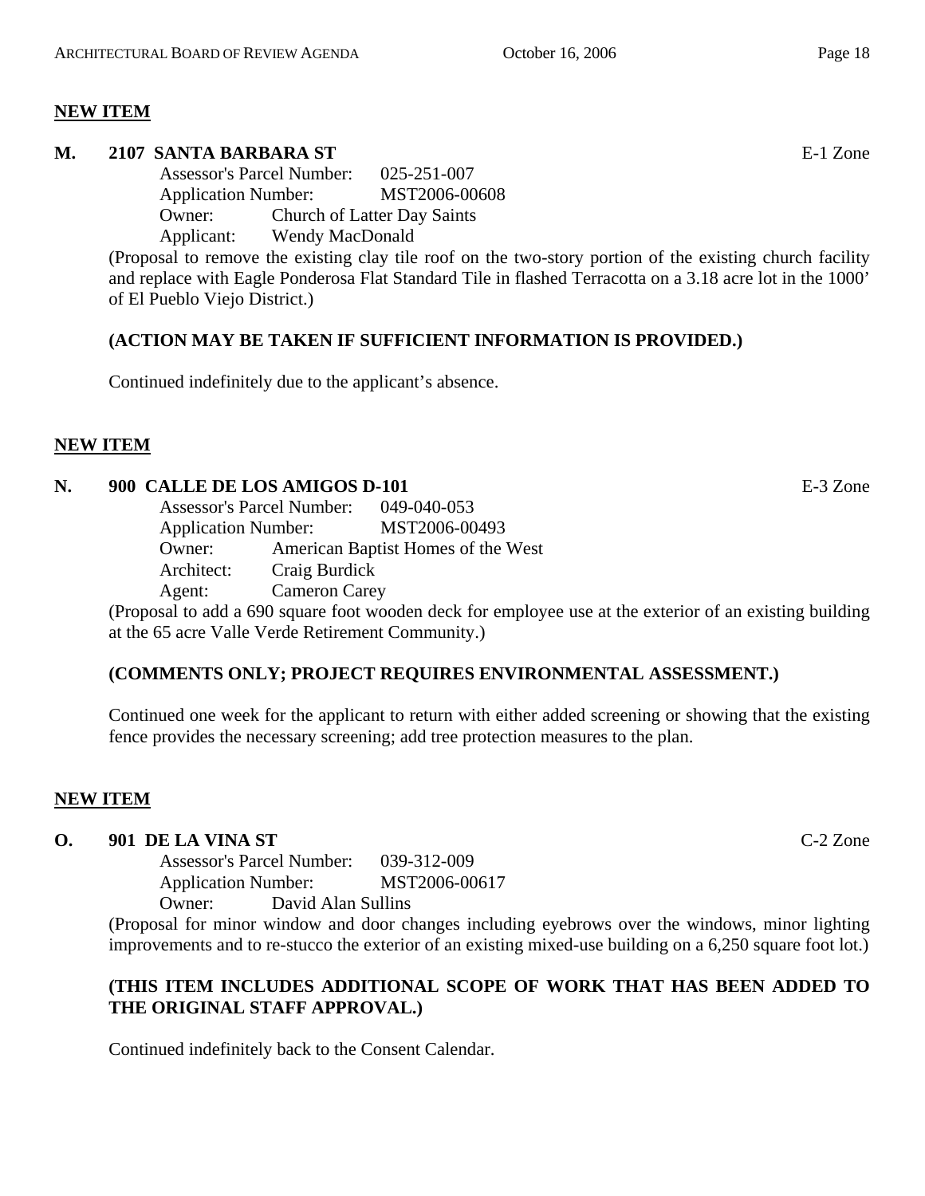#### **NEW ITEM**

#### **M. 2107 SANTA BARBARA ST** E-1 Zone

Assessor's Parcel Number: 025-251-007 Application Number: MST2006-00608 Owner: Church of Latter Day Saints Applicant: Wendy MacDonald

(Proposal to remove the existing clay tile roof on the two-story portion of the existing church facility and replace with Eagle Ponderosa Flat Standard Tile in flashed Terracotta on a 3.18 acre lot in the 1000' of El Pueblo Viejo District.)

# **(ACTION MAY BE TAKEN IF SUFFICIENT INFORMATION IS PROVIDED.)**

Continued indefinitely due to the applicant's absence.

#### **NEW ITEM**

#### **N. 900 CALLE DE LOS AMIGOS D-101** E-3 Zone

| <b>Assessor's Parcel Number:</b> |                      | 049-040-053                        |
|----------------------------------|----------------------|------------------------------------|
| <b>Application Number:</b>       |                      | MST2006-00493                      |
| Owner:                           |                      | American Baptist Homes of the West |
| Architect:                       | Craig Burdick        |                                    |
| Agent:                           | <b>Cameron Carey</b> |                                    |

(Proposal to add a 690 square foot wooden deck for employee use at the exterior of an existing building at the 65 acre Valle Verde Retirement Community.)

#### **(COMMENTS ONLY; PROJECT REQUIRES ENVIRONMENTAL ASSESSMENT.)**

Continued one week for the applicant to return with either added screening or showing that the existing fence provides the necessary screening; add tree protection measures to the plan.

#### **NEW ITEM**

#### **O. 901 DE LA VINA ST** C-2 Zone

Assessor's Parcel Number: 039-312-009 Application Number: MST2006-00617 Owner: David Alan Sullins

(Proposal for minor window and door changes including eyebrows over the windows, minor lighting improvements and to re-stucco the exterior of an existing mixed-use building on a 6,250 square foot lot.)

# **(THIS ITEM INCLUDES ADDITIONAL SCOPE OF WORK THAT HAS BEEN ADDED TO THE ORIGINAL STAFF APPROVAL.)**

Continued indefinitely back to the Consent Calendar.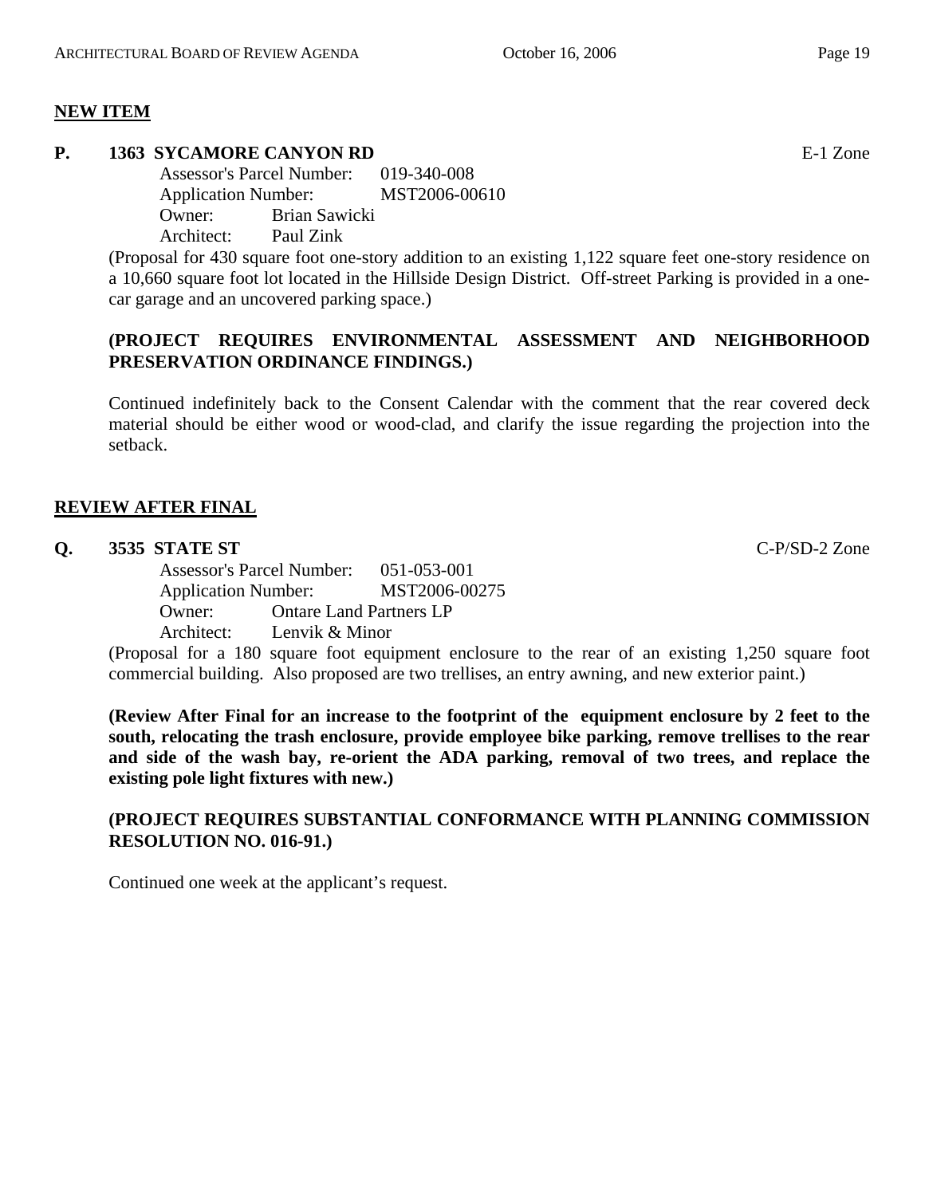# **NEW ITEM**

# **P. 1363 SYCAMORE CANYON RD** E-1 Zone

Assessor's Parcel Number: 019-340-008 Application Number: MST2006-00610 Owner: Brian Sawicki Architect: Paul Zink

(Proposal for 430 square foot one-story addition to an existing 1,122 square feet one-story residence on a 10,660 square foot lot located in the Hillside Design District. Off-street Parking is provided in a onecar garage and an uncovered parking space.)

# **(PROJECT REQUIRES ENVIRONMENTAL ASSESSMENT AND NEIGHBORHOOD PRESERVATION ORDINANCE FINDINGS.)**

Continued indefinitely back to the Consent Calendar with the comment that the rear covered deck material should be either wood or wood-clad, and clarify the issue regarding the projection into the setback.

# **REVIEW AFTER FINAL**

# **Q. 3535 STATE ST** C-P/SD-2 Zone

Assessor's Parcel Number: 051-053-001 Application Number: MST2006-00275 Owner: Ontare Land Partners LP Architect: Lenvik & Minor

(Proposal for a 180 square foot equipment enclosure to the rear of an existing 1,250 square foot commercial building. Also proposed are two trellises, an entry awning, and new exterior paint.)

**(Review After Final for an increase to the footprint of the equipment enclosure by 2 feet to the south, relocating the trash enclosure, provide employee bike parking, remove trellises to the rear and side of the wash bay, re-orient the ADA parking, removal of two trees, and replace the existing pole light fixtures with new.)** 

# **(PROJECT REQUIRES SUBSTANTIAL CONFORMANCE WITH PLANNING COMMISSION RESOLUTION NO. 016-91.)**

Continued one week at the applicant's request.